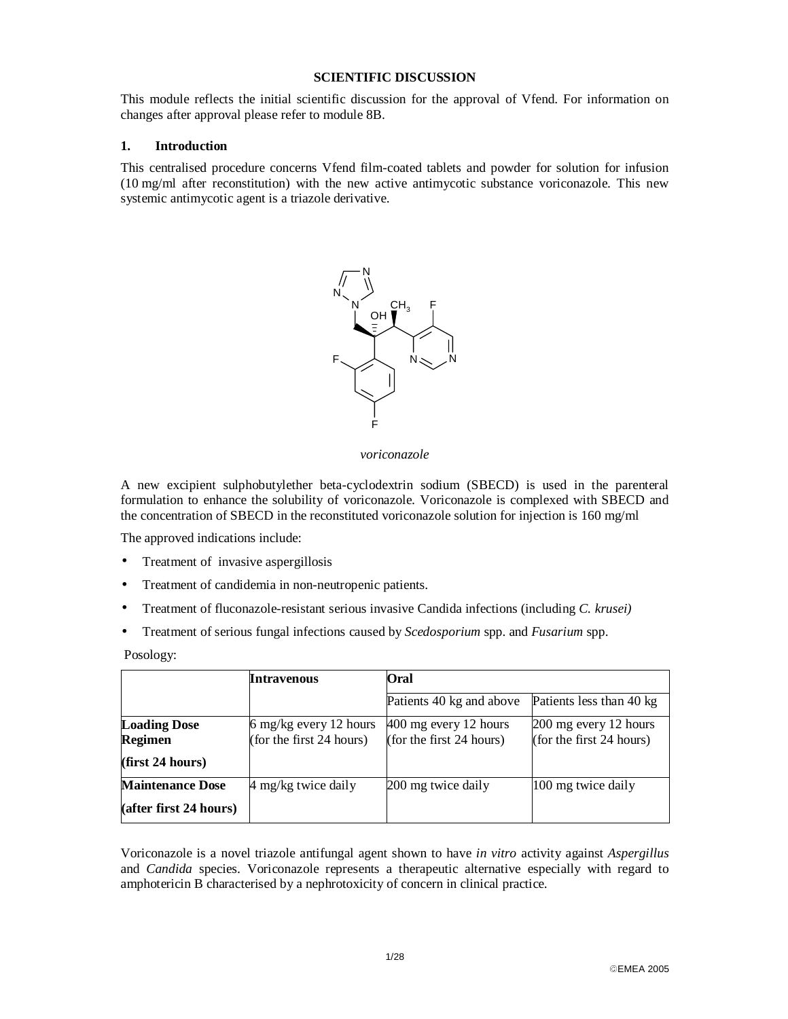#### **SCIENTIFIC DISCUSSION**

This module reflects the initial scientific discussion for the approval of Vfend. For information on changes after approval please refer to module 8B.

#### **1. Introduction**

This centralised procedure concerns Vfend film-coated tablets and powder for solution for infusion (10 mg/ml after reconstitution) with the new active antimycotic substance voriconazole. This new systemic antimycotic agent is a triazole derivative.



*voriconazole* 

A new excipient sulphobutylether beta-cyclodextrin sodium (SBECD) is used in the parenteral formulation to enhance the solubility of voriconazole. Voriconazole is complexed with SBECD and the concentration of SBECD in the reconstituted voriconazole solution for injection is 160 mg/ml

The approved indications include:

- Treatment of invasive aspergillosis
- Treatment of candidemia in non-neutropenic patients.
- Treatment of fluconazole-resistant serious invasive Candida infections (including *C. krusei)*
- Treatment of serious fungal infections caused by *Scedosporium* spp. and *Fusarium* spp.

Posology:

|                         | Intravenous              | Oral                     |                            |  |
|-------------------------|--------------------------|--------------------------|----------------------------|--|
|                         |                          | Patients 40 kg and above | Patients less than 40 kg   |  |
| <b>Loading Dose</b>     | 6 mg/kg every 12 hours   | $400$ mg every 12 hours  | 200 mg every 12 hours      |  |
| Regimen                 | (for the first 24 hours) | (for the first 24 hours) | (for the first $24$ hours) |  |
| (first 24 hours)        |                          |                          |                            |  |
| <b>Maintenance Dose</b> | 4 mg/kg twice daily      | 200 mg twice daily       | 100 mg twice daily         |  |
| (after first 24 hours)  |                          |                          |                            |  |

Voriconazole is a novel triazole antifungal agent shown to have *in vitro* activity against *Aspergillus* and *Candida* species. Voriconazole represents a therapeutic alternative especially with regard to amphotericin B characterised by a nephrotoxicity of concern in clinical practice.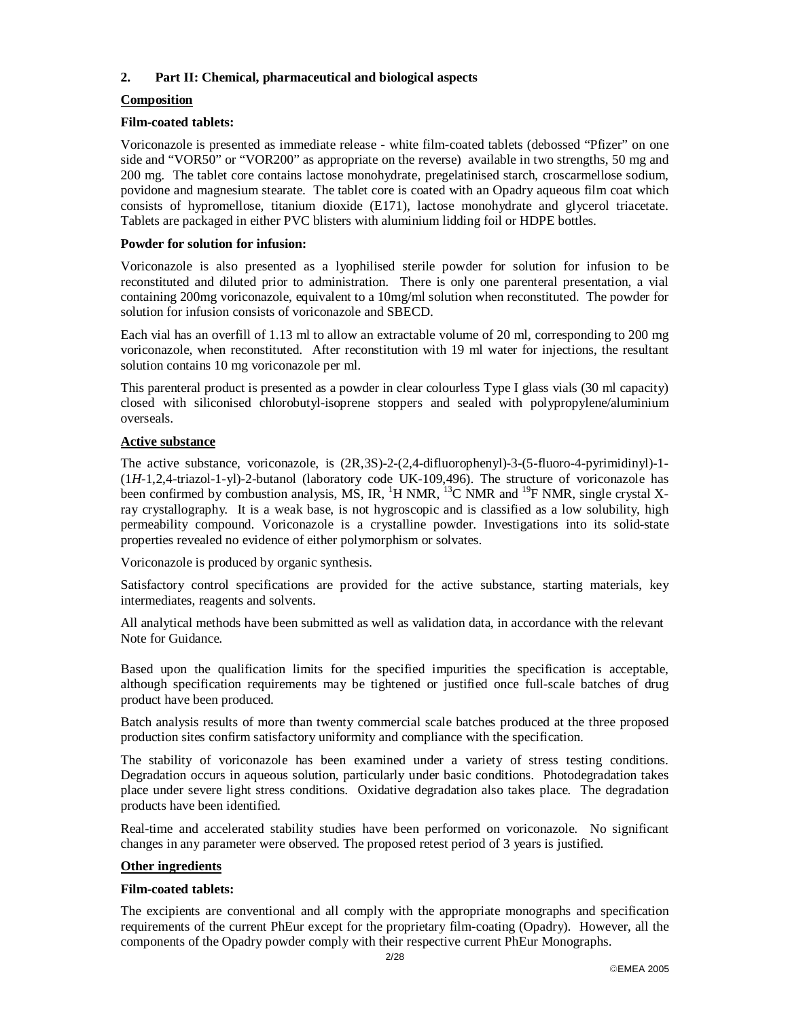### **2. Part II: Chemical, pharmaceutical and biological aspects**

### **Composition**

#### **Film-coated tablets:**

Voriconazole is presented as immediate release - white film-coated tablets (debossed "Pfizer" on one side and "VOR50" or "VOR200" as appropriate on the reverse) available in two strengths, 50 mg and 200 mg. The tablet core contains lactose monohydrate, pregelatinised starch, croscarmellose sodium, povidone and magnesium stearate. The tablet core is coated with an Opadry aqueous film coat which consists of hypromellose, titanium dioxide (E171), lactose monohydrate and glycerol triacetate. Tablets are packaged in either PVC blisters with aluminium lidding foil or HDPE bottles.

#### **Powder for solution for infusion:**

Voriconazole is also presented as a lyophilised sterile powder for solution for infusion to be reconstituted and diluted prior to administration. There is only one parenteral presentation, a vial containing 200mg voriconazole, equivalent to a 10mg/ml solution when reconstituted. The powder for solution for infusion consists of voriconazole and SBECD.

Each vial has an overfill of 1.13 ml to allow an extractable volume of 20 ml, corresponding to 200 mg voriconazole, when reconstituted. After reconstitution with 19 ml water for injections, the resultant solution contains 10 mg voriconazole per ml.

This parenteral product is presented as a powder in clear colourless Type I glass vials (30 ml capacity) closed with siliconised chlorobutyl-isoprene stoppers and sealed with polypropylene/aluminium overseals.

### **Active substance**

The active substance, voriconazole, is (2R,3S)-2-(2,4-difluorophenyl)-3-(5-fluoro-4-pyrimidinyl)-1- (1*H*-1,2,4-triazol-1-yl)-2-butanol (laboratory code UK-109,496). The structure of voriconazole has been confirmed by combustion analysis, MS, IR,  ${}^{1}H$  NMR,  ${}^{13}C$  NMR and  ${}^{19}F$  NMR, single crystal Xray crystallography. It is a weak base, is not hygroscopic and is classified as a low solubility, high permeability compound. Voriconazole is a crystalline powder. Investigations into its solid-state properties revealed no evidence of either polymorphism or solvates.

Voriconazole is produced by organic synthesis.

Satisfactory control specifications are provided for the active substance, starting materials, key intermediates, reagents and solvents.

All analytical methods have been submitted as well as validation data, in accordance with the relevant Note for Guidance.

Based upon the qualification limits for the specified impurities the specification is acceptable, although specification requirements may be tightened or justified once full-scale batches of drug product have been produced.

Batch analysis results of more than twenty commercial scale batches produced at the three proposed production sites confirm satisfactory uniformity and compliance with the specification.

The stability of voriconazole has been examined under a variety of stress testing conditions. Degradation occurs in aqueous solution, particularly under basic conditions. Photodegradation takes place under severe light stress conditions. Oxidative degradation also takes place. The degradation products have been identified.

Real-time and accelerated stability studies have been performed on voriconazole. No significant changes in any parameter were observed. The proposed retest period of 3 years is justified.

### **Other ingredients**

#### **Film-coated tablets:**

The excipients are conventional and all comply with the appropriate monographs and specification requirements of the current PhEur except for the proprietary film-coating (Opadry). However, all the components of the Opadry powder comply with their respective current PhEur Monographs.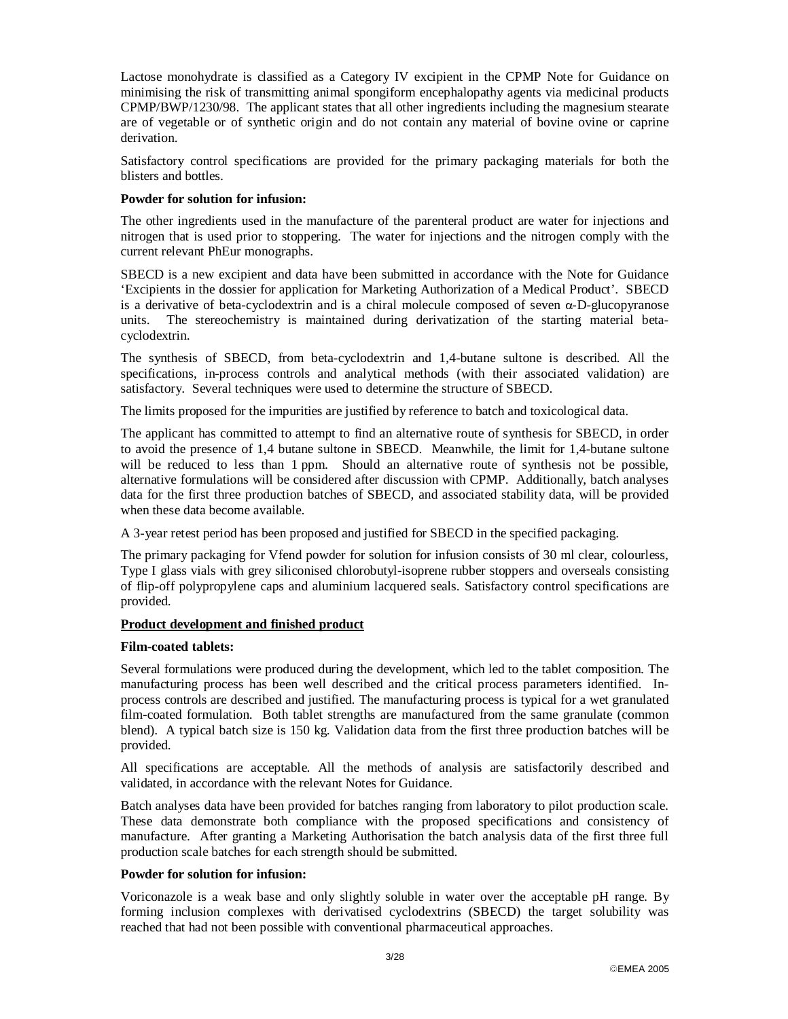Lactose monohydrate is classified as a Category IV excipient in the CPMP Note for Guidance on minimising the risk of transmitting animal spongiform encephalopathy agents via medicinal products CPMP/BWP/1230/98. The applicant states that all other ingredients including the magnesium stearate are of vegetable or of synthetic origin and do not contain any material of bovine ovine or caprine derivation.

Satisfactory control specifications are provided for the primary packaging materials for both the blisters and bottles.

#### **Powder for solution for infusion:**

The other ingredients used in the manufacture of the parenteral product are water for injections and nitrogen that is used prior to stoppering. The water for injections and the nitrogen comply with the current relevant PhEur monographs.

SBECD is a new excipient and data have been submitted in accordance with the Note for Guidance 'Excipients in the dossier for application for Marketing Authorization of a Medical Product'. SBECD is a derivative of beta-cyclodextrin and is a chiral molecule composed of seven  $\alpha$ -D-glucopyranose units. The stereochemistry is maintained during derivatization of the starting material beta-The stereochemistry is maintained during derivatization of the starting material betacyclodextrin.

The synthesis of SBECD, from beta-cyclodextrin and 1,4-butane sultone is described. All the specifications, in-process controls and analytical methods (with their associated validation) are satisfactory. Several techniques were used to determine the structure of SBECD.

The limits proposed for the impurities are justified by reference to batch and toxicological data.

The applicant has committed to attempt to find an alternative route of synthesis for SBECD, in order to avoid the presence of 1,4 butane sultone in SBECD. Meanwhile, the limit for 1,4-butane sultone will be reduced to less than 1 ppm. Should an alternative route of synthesis not be possible, alternative formulations will be considered after discussion with CPMP. Additionally, batch analyses data for the first three production batches of SBECD, and associated stability data, will be provided when these data become available.

A 3-year retest period has been proposed and justified for SBECD in the specified packaging.

The primary packaging for Vfend powder for solution for infusion consists of 30 ml clear, colourless, Type I glass vials with grey siliconised chlorobutyl-isoprene rubber stoppers and overseals consisting of flip-off polypropylene caps and aluminium lacquered seals. Satisfactory control specifications are provided.

#### **Product development and finished product**

#### **Film-coated tablets:**

Several formulations were produced during the development, which led to the tablet composition. The manufacturing process has been well described and the critical process parameters identified. Inprocess controls are described and justified. The manufacturing process is typical for a wet granulated film-coated formulation. Both tablet strengths are manufactured from the same granulate (common blend). A typical batch size is 150 kg. Validation data from the first three production batches will be provided.

All specifications are acceptable. All the methods of analysis are satisfactorily described and validated, in accordance with the relevant Notes for Guidance.

Batch analyses data have been provided for batches ranging from laboratory to pilot production scale. These data demonstrate both compliance with the proposed specifications and consistency of manufacture. After granting a Marketing Authorisation the batch analysis data of the first three full production scale batches for each strength should be submitted.

#### **Powder for solution for infusion:**

Voriconazole is a weak base and only slightly soluble in water over the acceptable pH range. By forming inclusion complexes with derivatised cyclodextrins (SBECD) the target solubility was reached that had not been possible with conventional pharmaceutical approaches.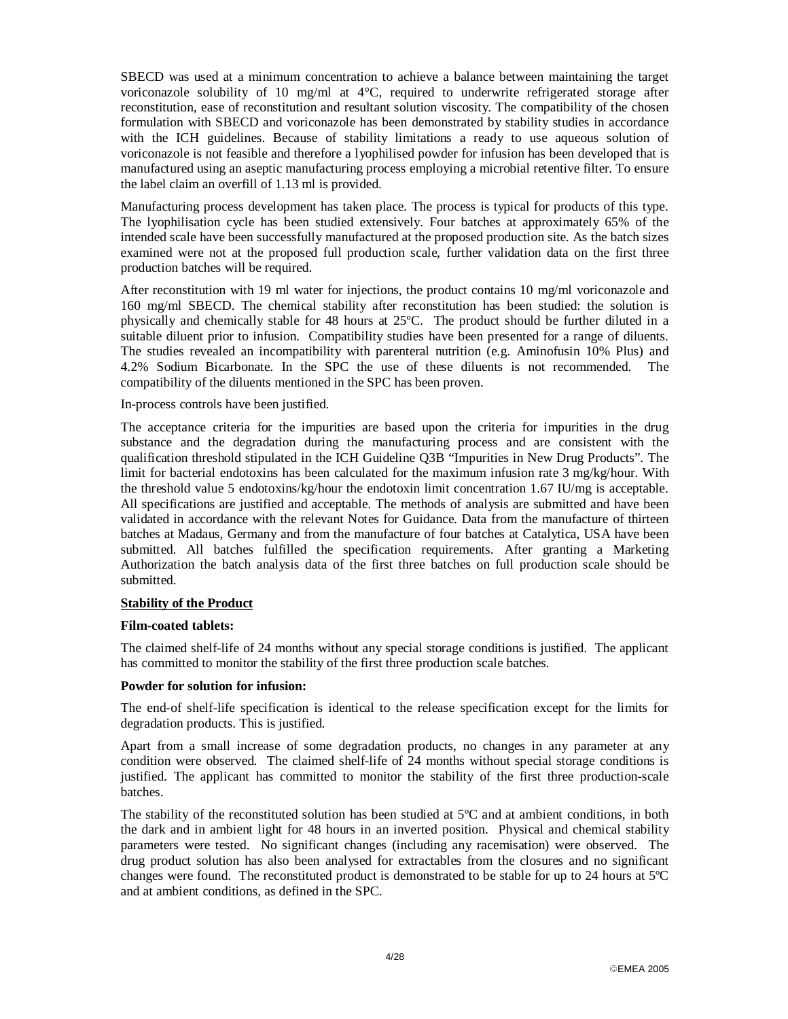SBECD was used at a minimum concentration to achieve a balance between maintaining the target voriconazole solubility of 10 mg/ml at  $4^{\circ}$ C, required to underwrite refrigerated storage after reconstitution, ease of reconstitution and resultant solution viscosity. The compatibility of the chosen formulation with SBECD and voriconazole has been demonstrated by stability studies in accordance with the ICH guidelines. Because of stability limitations a ready to use aqueous solution of voriconazole is not feasible and therefore a lyophilised powder for infusion has been developed that is manufactured using an aseptic manufacturing process employing a microbial retentive filter. To ensure the label claim an overfill of 1.13 ml is provided.

Manufacturing process development has taken place. The process is typical for products of this type. The lyophilisation cycle has been studied extensively. Four batches at approximately 65% of the intended scale have been successfully manufactured at the proposed production site. As the batch sizes examined were not at the proposed full production scale, further validation data on the first three production batches will be required.

After reconstitution with 19 ml water for injections, the product contains 10 mg/ml voriconazole and 160 mg/ml SBECD. The chemical stability after reconstitution has been studied: the solution is physically and chemically stable for 48 hours at 25ºC. The product should be further diluted in a suitable diluent prior to infusion. Compatibility studies have been presented for a range of diluents. The studies revealed an incompatibility with parenteral nutrition (e.g. Aminofusin 10% Plus) and 4.2% Sodium Bicarbonate. In the SPC the use of these diluents is not recommended. The compatibility of the diluents mentioned in the SPC has been proven.

#### In-process controls have been justified.

The acceptance criteria for the impurities are based upon the criteria for impurities in the drug substance and the degradation during the manufacturing process and are consistent with the qualification threshold stipulated in the ICH Guideline Q3B "Impurities in New Drug Products". The limit for bacterial endotoxins has been calculated for the maximum infusion rate 3 mg/kg/hour. With the threshold value 5 endotoxins/kg/hour the endotoxin limit concentration 1.67 IU/mg is acceptable. All specifications are justified and acceptable. The methods of analysis are submitted and have been validated in accordance with the relevant Notes for Guidance. Data from the manufacture of thirteen batches at Madaus, Germany and from the manufacture of four batches at Catalytica, USA have been submitted. All batches fulfilled the specification requirements. After granting a Marketing Authorization the batch analysis data of the first three batches on full production scale should be submitted.

#### **Stability of the Product**

#### **Film-coated tablets:**

The claimed shelf-life of 24 months without any special storage conditions is justified. The applicant has committed to monitor the stability of the first three production scale batches.

#### **Powder for solution for infusion:**

The end-of shelf-life specification is identical to the release specification except for the limits for degradation products. This is justified.

Apart from a small increase of some degradation products, no changes in any parameter at any condition were observed. The claimed shelf-life of 24 months without special storage conditions is justified. The applicant has committed to monitor the stability of the first three production-scale batches.

The stability of the reconstituted solution has been studied at 5ºC and at ambient conditions, in both the dark and in ambient light for 48 hours in an inverted position. Physical and chemical stability parameters were tested. No significant changes (including any racemisation) were observed. The drug product solution has also been analysed for extractables from the closures and no significant changes were found. The reconstituted product is demonstrated to be stable for up to 24 hours at 5ºC and at ambient conditions, as defined in the SPC.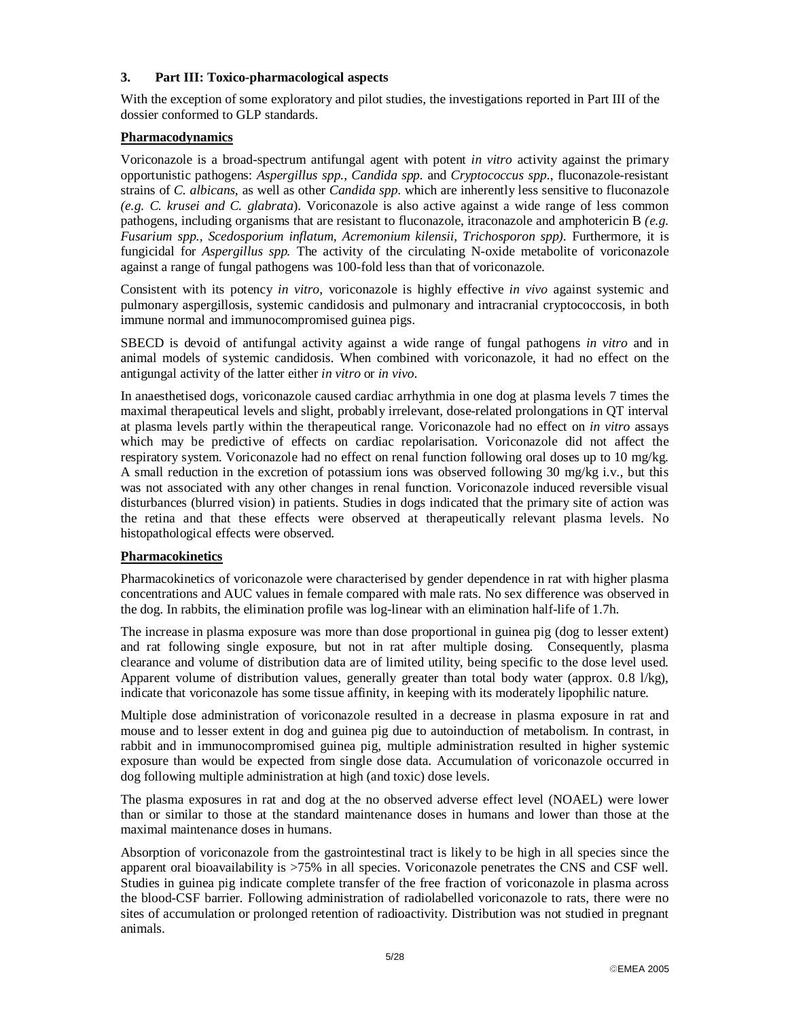### **3. Part III: Toxico-pharmacological aspects**

With the exception of some exploratory and pilot studies, the investigations reported in Part III of the dossier conformed to GLP standards.

### **Pharmacodynamics**

Voriconazole is a broad-spectrum antifungal agent with potent *in vitro* activity against the primary opportunistic pathogens: *Aspergillus spp., Candida spp.* and *Cryptococcus spp.*, fluconazole-resistant strains of *C. albicans*, as well as other *Candida spp*. which are inherently less sensitive to fluconazole *(e.g. C. krusei and C. glabrata*). Voriconazole is also active against a wide range of less common pathogens, including organisms that are resistant to fluconazole, itraconazole and amphotericin B *(e.g. Fusarium spp., Scedosporium inflatum, Acremonium kilensii, Trichosporon spp).* Furthermore, it is fungicidal for *Aspergillus spp.* The activity of the circulating N-oxide metabolite of voriconazole against a range of fungal pathogens was 100-fold less than that of voriconazole.

Consistent with its potency *in vitro*, voriconazole is highly effective *in vivo* against systemic and pulmonary aspergillosis, systemic candidosis and pulmonary and intracranial cryptococcosis, in both immune normal and immunocompromised guinea pigs.

SBECD is devoid of antifungal activity against a wide range of fungal pathogens *in vitro* and in animal models of systemic candidosis. When combined with voriconazole, it had no effect on the antigungal activity of the latter either *in vitro* or *in vivo*.

In anaesthetised dogs, voriconazole caused cardiac arrhythmia in one dog at plasma levels 7 times the maximal therapeutical levels and slight, probably irrelevant, dose-related prolongations in QT interval at plasma levels partly within the therapeutical range. Voriconazole had no effect on *in vitro* assays which may be predictive of effects on cardiac repolarisation. Voriconazole did not affect the respiratory system. Voriconazole had no effect on renal function following oral doses up to 10 mg/kg. A small reduction in the excretion of potassium ions was observed following 30 mg/kg i.v., but this was not associated with any other changes in renal function. Voriconazole induced reversible visual disturbances (blurred vision) in patients. Studies in dogs indicated that the primary site of action was the retina and that these effects were observed at therapeutically relevant plasma levels. No histopathological effects were observed.

#### **Pharmacokinetics**

Pharmacokinetics of voriconazole were characterised by gender dependence in rat with higher plasma concentrations and AUC values in female compared with male rats. No sex difference was observed in the dog. In rabbits, the elimination profile was log-linear with an elimination half-life of 1.7h.

The increase in plasma exposure was more than dose proportional in guinea pig (dog to lesser extent) and rat following single exposure, but not in rat after multiple dosing. Consequently, plasma clearance and volume of distribution data are of limited utility, being specific to the dose level used. Apparent volume of distribution values, generally greater than total body water (approx. 0.8 l/kg), indicate that voriconazole has some tissue affinity, in keeping with its moderately lipophilic nature.

Multiple dose administration of voriconazole resulted in a decrease in plasma exposure in rat and mouse and to lesser extent in dog and guinea pig due to autoinduction of metabolism. In contrast, in rabbit and in immunocompromised guinea pig, multiple administration resulted in higher systemic exposure than would be expected from single dose data. Accumulation of voriconazole occurred in dog following multiple administration at high (and toxic) dose levels.

The plasma exposures in rat and dog at the no observed adverse effect level (NOAEL) were lower than or similar to those at the standard maintenance doses in humans and lower than those at the maximal maintenance doses in humans.

Absorption of voriconazole from the gastrointestinal tract is likely to be high in all species since the apparent oral bioavailability is >75% in all species. Voriconazole penetrates the CNS and CSF well. Studies in guinea pig indicate complete transfer of the free fraction of voriconazole in plasma across the blood-CSF barrier. Following administration of radiolabelled voriconazole to rats, there were no sites of accumulation or prolonged retention of radioactivity. Distribution was not studied in pregnant animals.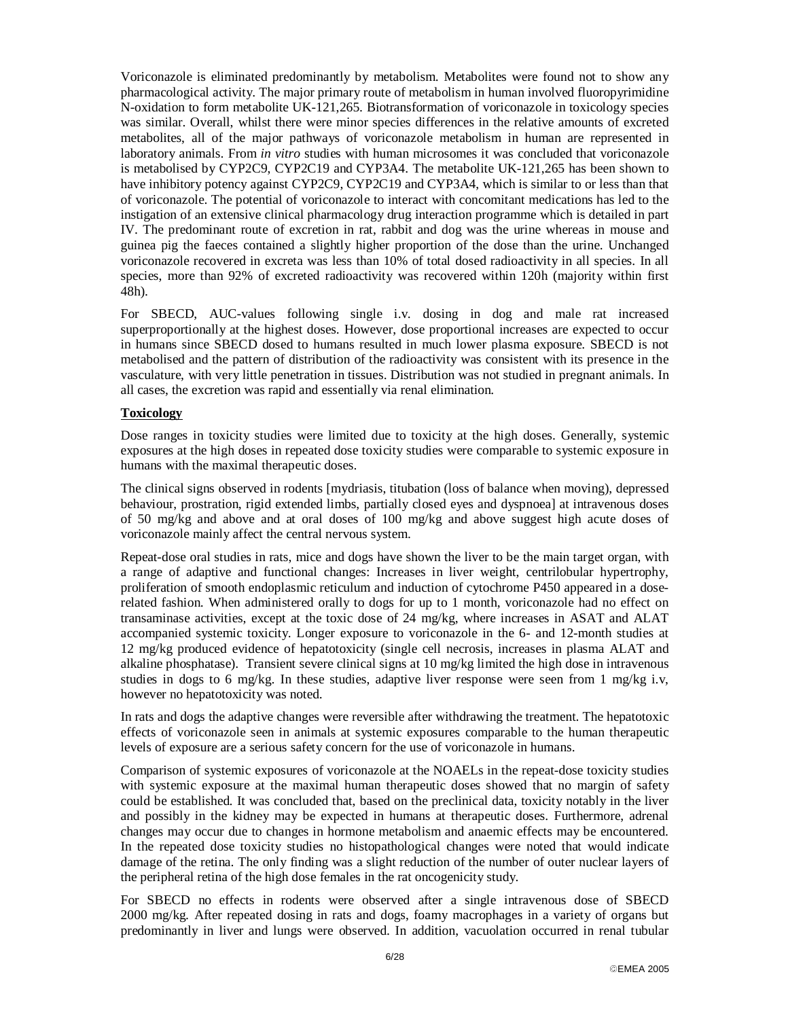Voriconazole is eliminated predominantly by metabolism. Metabolites were found not to show any pharmacological activity. The major primary route of metabolism in human involved fluoropyrimidine N-oxidation to form metabolite UK-121,265. Biotransformation of voriconazole in toxicology species was similar. Overall, whilst there were minor species differences in the relative amounts of excreted metabolites, all of the major pathways of voriconazole metabolism in human are represented in laboratory animals. From *in vitro* studies with human microsomes it was concluded that voriconazole is metabolised by CYP2C9, CYP2C19 and CYP3A4. The metabolite UK-121,265 has been shown to have inhibitory potency against CYP2C9, CYP2C19 and CYP3A4, which is similar to or less than that of voriconazole. The potential of voriconazole to interact with concomitant medications has led to the instigation of an extensive clinical pharmacology drug interaction programme which is detailed in part IV. The predominant route of excretion in rat, rabbit and dog was the urine whereas in mouse and guinea pig the faeces contained a slightly higher proportion of the dose than the urine. Unchanged voriconazole recovered in excreta was less than 10% of total dosed radioactivity in all species. In all species, more than 92% of excreted radioactivity was recovered within 120h (majority within first 48h).

For SBECD, AUC-values following single i.v. dosing in dog and male rat increased superproportionally at the highest doses. However, dose proportional increases are expected to occur in humans since SBECD dosed to humans resulted in much lower plasma exposure. SBECD is not metabolised and the pattern of distribution of the radioactivity was consistent with its presence in the vasculature, with very little penetration in tissues. Distribution was not studied in pregnant animals. In all cases, the excretion was rapid and essentially via renal elimination.

#### **Toxicology**

Dose ranges in toxicity studies were limited due to toxicity at the high doses. Generally, systemic exposures at the high doses in repeated dose toxicity studies were comparable to systemic exposure in humans with the maximal therapeutic doses.

The clinical signs observed in rodents [mydriasis, titubation (loss of balance when moving), depressed behaviour, prostration, rigid extended limbs, partially closed eyes and dyspnoea] at intravenous doses of 50 mg/kg and above and at oral doses of 100 mg/kg and above suggest high acute doses of voriconazole mainly affect the central nervous system.

Repeat-dose oral studies in rats, mice and dogs have shown the liver to be the main target organ, with a range of adaptive and functional changes: Increases in liver weight, centrilobular hypertrophy, proliferation of smooth endoplasmic reticulum and induction of cytochrome P450 appeared in a doserelated fashion. When administered orally to dogs for up to 1 month, voriconazole had no effect on transaminase activities, except at the toxic dose of 24 mg/kg, where increases in ASAT and ALAT accompanied systemic toxicity. Longer exposure to voriconazole in the 6- and 12-month studies at 12 mg/kg produced evidence of hepatotoxicity (single cell necrosis, increases in plasma ALAT and alkaline phosphatase). Transient severe clinical signs at 10 mg/kg limited the high dose in intravenous studies in dogs to 6 mg/kg. In these studies, adaptive liver response were seen from 1 mg/kg i.v, however no hepatotoxicity was noted.

In rats and dogs the adaptive changes were reversible after withdrawing the treatment. The hepatotoxic effects of voriconazole seen in animals at systemic exposures comparable to the human therapeutic levels of exposure are a serious safety concern for the use of voriconazole in humans.

Comparison of systemic exposures of voriconazole at the NOAELs in the repeat-dose toxicity studies with systemic exposure at the maximal human therapeutic doses showed that no margin of safety could be established. It was concluded that, based on the preclinical data, toxicity notably in the liver and possibly in the kidney may be expected in humans at therapeutic doses. Furthermore, adrenal changes may occur due to changes in hormone metabolism and anaemic effects may be encountered. In the repeated dose toxicity studies no histopathological changes were noted that would indicate damage of the retina. The only finding was a slight reduction of the number of outer nuclear layers of the peripheral retina of the high dose females in the rat oncogenicity study.

For SBECD no effects in rodents were observed after a single intravenous dose of SBECD 2000 mg/kg. After repeated dosing in rats and dogs, foamy macrophages in a variety of organs but predominantly in liver and lungs were observed. In addition, vacuolation occurred in renal tubular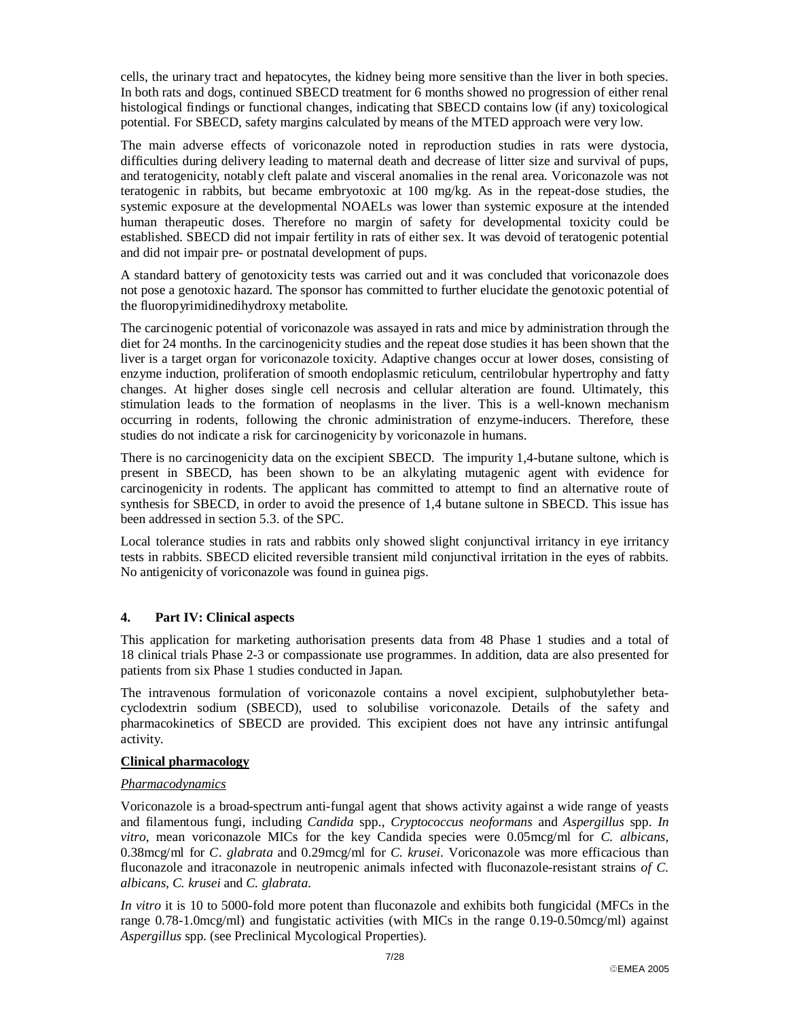cells, the urinary tract and hepatocytes, the kidney being more sensitive than the liver in both species. In both rats and dogs, continued SBECD treatment for 6 months showed no progression of either renal histological findings or functional changes, indicating that SBECD contains low (if any) toxicological potential. For SBECD, safety margins calculated by means of the MTED approach were very low.

The main adverse effects of voriconazole noted in reproduction studies in rats were dystocia, difficulties during delivery leading to maternal death and decrease of litter size and survival of pups, and teratogenicity, notably cleft palate and visceral anomalies in the renal area. Voriconazole was not teratogenic in rabbits, but became embryotoxic at 100 mg/kg. As in the repeat-dose studies, the systemic exposure at the developmental NOAELs was lower than systemic exposure at the intended human therapeutic doses. Therefore no margin of safety for developmental toxicity could be established. SBECD did not impair fertility in rats of either sex. It was devoid of teratogenic potential and did not impair pre- or postnatal development of pups.

A standard battery of genotoxicity tests was carried out and it was concluded that voriconazole does not pose a genotoxic hazard. The sponsor has committed to further elucidate the genotoxic potential of the fluoropyrimidinedihydroxy metabolite.

The carcinogenic potential of voriconazole was assayed in rats and mice by administration through the diet for 24 months. In the carcinogenicity studies and the repeat dose studies it has been shown that the liver is a target organ for voriconazole toxicity. Adaptive changes occur at lower doses, consisting of enzyme induction, proliferation of smooth endoplasmic reticulum, centrilobular hypertrophy and fatty changes. At higher doses single cell necrosis and cellular alteration are found. Ultimately, this stimulation leads to the formation of neoplasms in the liver. This is a well-known mechanism occurring in rodents, following the chronic administration of enzyme-inducers. Therefore, these studies do not indicate a risk for carcinogenicity by voriconazole in humans.

There is no carcinogenicity data on the excipient SBECD. The impurity 1,4-butane sultone, which is present in SBECD, has been shown to be an alkylating mutagenic agent with evidence for carcinogenicity in rodents. The applicant has committed to attempt to find an alternative route of synthesis for SBECD, in order to avoid the presence of 1,4 butane sultone in SBECD. This issue has been addressed in section 5.3. of the SPC.

Local tolerance studies in rats and rabbits only showed slight conjunctival irritancy in eye irritancy tests in rabbits. SBECD elicited reversible transient mild conjunctival irritation in the eyes of rabbits. No antigenicity of voriconazole was found in guinea pigs.

#### **4. Part IV: Clinical aspects**

This application for marketing authorisation presents data from 48 Phase 1 studies and a total of 18 clinical trials Phase 2-3 or compassionate use programmes. In addition, data are also presented for patients from six Phase 1 studies conducted in Japan.

The intravenous formulation of voriconazole contains a novel excipient, sulphobutylether betacyclodextrin sodium (SBECD), used to solubilise voriconazole. Details of the safety and pharmacokinetics of SBECD are provided. This excipient does not have any intrinsic antifungal activity.

#### **Clinical pharmacology**

#### *Pharmacodynamics*

Voriconazole is a broad-spectrum anti-fungal agent that shows activity against a wide range of yeasts and filamentous fungi, including *Candida* spp., *Cryptococcus neoformans* and *Aspergillus* spp. *In vitro*, mean voriconazole MICs for the key Candida species were 0.05mcg/ml for *C. albicans*, 0.38mcg/ml for *C*. *glabrata* and 0.29mcg/ml for *C. krusei*. Voriconazole was more efficacious than fluconazole and itraconazole in neutropenic animals infected with fluconazole-resistant strains *of C. albicans, C. krusei* and *C. glabrata*.

*In vitro* it is 10 to 5000-fold more potent than fluconazole and exhibits both fungicidal (MFCs in the range 0.78-1.0mcg/ml) and fungistatic activities (with MICs in the range 0.19-0.50mcg/ml) against *Aspergillus* spp. (see Preclinical Mycological Properties).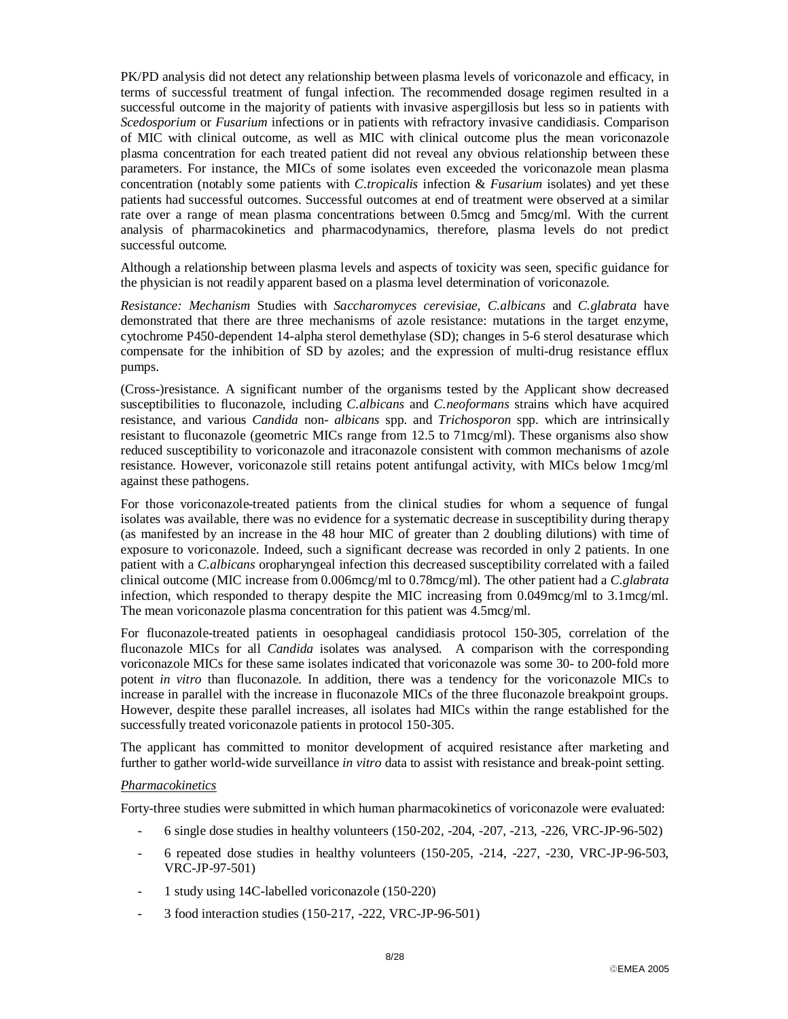PK/PD analysis did not detect any relationship between plasma levels of voriconazole and efficacy, in terms of successful treatment of fungal infection. The recommended dosage regimen resulted in a successful outcome in the majority of patients with invasive aspergillosis but less so in patients with *Scedosporium* or *Fusarium* infections or in patients with refractory invasive candidiasis. Comparison of MIC with clinical outcome, as well as MIC with clinical outcome plus the mean voriconazole plasma concentration for each treated patient did not reveal any obvious relationship between these parameters. For instance, the MICs of some isolates even exceeded the voriconazole mean plasma concentration (notably some patients with *C.tropicalis* infection & *Fusarium* isolates) and yet these patients had successful outcomes. Successful outcomes at end of treatment were observed at a similar rate over a range of mean plasma concentrations between 0.5mcg and 5mcg/ml. With the current analysis of pharmacokinetics and pharmacodynamics, therefore, plasma levels do not predict successful outcome*.* 

Although a relationship between plasma levels and aspects of toxicity was seen, specific guidance for the physician is not readily apparent based on a plasma level determination of voriconazole.

*Resistance: Mechanism* Studies with *Saccharomyces cerevisiae, C.albicans* and *C.glabrata* have demonstrated that there are three mechanisms of azole resistance: mutations in the target enzyme, cytochrome P450-dependent 14-alpha sterol demethylase (SD); changes in 5-6 sterol desaturase which compensate for the inhibition of SD by azoles; and the expression of multi-drug resistance efflux pumps.

(Cross-)resistance. A significant number of the organisms tested by the Applicant show decreased susceptibilities to fluconazole, including *C.albicans* and *C.neoformans* strains which have acquired resistance, and various *Candida* non- *albicans* spp. and *Trichosporon* spp. which are intrinsically resistant to fluconazole (geometric MICs range from 12.5 to 71mcg/ml). These organisms also show reduced susceptibility to voriconazole and itraconazole consistent with common mechanisms of azole resistance. However, voriconazole still retains potent antifungal activity, with MICs below 1mcg/ml against these pathogens.

For those voriconazole-treated patients from the clinical studies for whom a sequence of fungal isolates was available, there was no evidence for a systematic decrease in susceptibility during therapy (as manifested by an increase in the 48 hour MIC of greater than 2 doubling dilutions) with time of exposure to voriconazole. Indeed, such a significant decrease was recorded in only 2 patients. In one patient with a *C.albicans* oropharyngeal infection this decreased susceptibility correlated with a failed clinical outcome (MIC increase from 0.006mcg/ml to 0.78mcg/ml). The other patient had a *C.glabrata* infection, which responded to therapy despite the MIC increasing from 0.049mcg/ml to 3.1mcg/ml. The mean voriconazole plasma concentration for this patient was 4.5mcg/ml.

For fluconazole-treated patients in oesophageal candidiasis protocol 150-305, correlation of the fluconazole MICs for all *Candida* isolates was analysed. A comparison with the corresponding voriconazole MICs for these same isolates indicated that voriconazole was some 30- to 200-fold more potent *in vitro* than fluconazole. In addition, there was a tendency for the voriconazole MICs to increase in parallel with the increase in fluconazole MICs of the three fluconazole breakpoint groups. However, despite these parallel increases, all isolates had MICs within the range established for the successfully treated voriconazole patients in protocol 150-305.

The applicant has committed to monitor development of acquired resistance after marketing and further to gather world-wide surveillance *in vitro* data to assist with resistance and break-point setting.

#### *Pharmacokinetics*

Forty-three studies were submitted in which human pharmacokinetics of voriconazole were evaluated:

- 6 single dose studies in healthy volunteers (150-202, -204, -207, -213, -226, VRC-JP-96-502)
- 6 repeated dose studies in healthy volunteers (150-205, -214, -227, -230, VRC-JP-96-503, VRC-JP-97-501)
- 1 study using 14C-labelled voriconazole (150-220)
- 3 food interaction studies (150-217, -222, VRC-JP-96-501)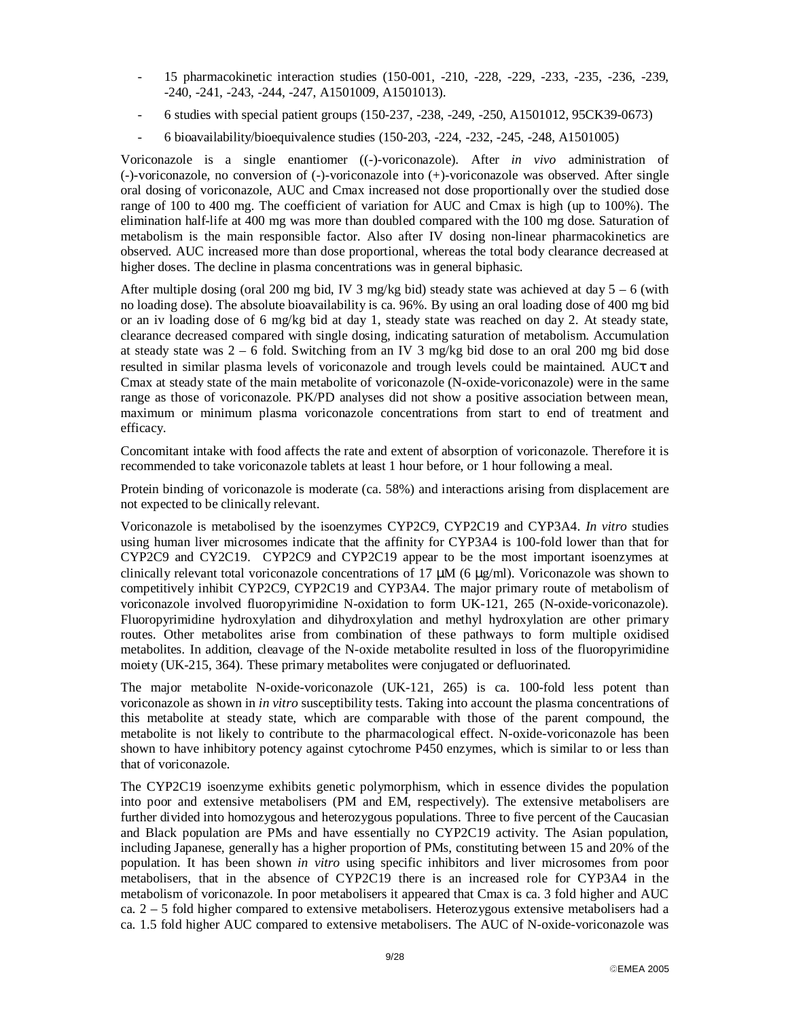- 15 pharmacokinetic interaction studies (150-001, -210, -228, -229, -233, -235, -236, -239, -240, -241, -243, -244, -247, A1501009, A1501013).
- 6 studies with special patient groups (150-237, -238, -249, -250, A1501012, 95CK39-0673)
- 6 bioavailability/bioequivalence studies (150-203, -224, -232, -245, -248, A1501005)

Voriconazole is a single enantiomer ((-)-voriconazole). After *in vivo* administration of (-)-voriconazole, no conversion of (-)-voriconazole into (+)-voriconazole was observed. After single oral dosing of voriconazole, AUC and Cmax increased not dose proportionally over the studied dose range of 100 to 400 mg. The coefficient of variation for AUC and Cmax is high (up to 100%). The elimination half-life at 400 mg was more than doubled compared with the 100 mg dose. Saturation of metabolism is the main responsible factor. Also after IV dosing non-linear pharmacokinetics are observed. AUC increased more than dose proportional, whereas the total body clearance decreased at higher doses. The decline in plasma concentrations was in general biphasic.

After multiple dosing (oral 200 mg bid, IV 3 mg/kg bid) steady state was achieved at day  $5 - 6$  (with no loading dose). The absolute bioavailability is ca. 96%. By using an oral loading dose of 400 mg bid or an iv loading dose of 6 mg/kg bid at day 1, steady state was reached on day 2. At steady state, clearance decreased compared with single dosing, indicating saturation of metabolism. Accumulation at steady state was 2 – 6 fold. Switching from an IV 3 mg/kg bid dose to an oral 200 mg bid dose resulted in similar plasma levels of voriconazole and trough levels could be maintained. AUCτ and Cmax at steady state of the main metabolite of voriconazole (N-oxide-voriconazole) were in the same range as those of voriconazole. PK/PD analyses did not show a positive association between mean, maximum or minimum plasma voriconazole concentrations from start to end of treatment and efficacy.

Concomitant intake with food affects the rate and extent of absorption of voriconazole. Therefore it is recommended to take voriconazole tablets at least 1 hour before, or 1 hour following a meal.

Protein binding of voriconazole is moderate (ca. 58%) and interactions arising from displacement are not expected to be clinically relevant.

Voriconazole is metabolised by the isoenzymes CYP2C9, CYP2C19 and CYP3A4. *In vitro* studies using human liver microsomes indicate that the affinity for CYP3A4 is 100-fold lower than that for CYP2C9 and CY2C19. CYP2C9 and CYP2C19 appear to be the most important isoenzymes at clinically relevant total voriconazole concentrations of 17  $\mu$ M (6  $\mu$ g/ml). Voriconazole was shown to competitively inhibit CYP2C9, CYP2C19 and CYP3A4. The major primary route of metabolism of voriconazole involved fluoropyrimidine N-oxidation to form UK-121, 265 (N-oxide-voriconazole). Fluoropyrimidine hydroxylation and dihydroxylation and methyl hydroxylation are other primary routes. Other metabolites arise from combination of these pathways to form multiple oxidised metabolites. In addition, cleavage of the N-oxide metabolite resulted in loss of the fluoropyrimidine moiety (UK-215, 364). These primary metabolites were conjugated or defluorinated.

The major metabolite N-oxide-voriconazole (UK-121, 265) is ca. 100-fold less potent than voriconazole as shown in *in vitro* susceptibility tests. Taking into account the plasma concentrations of this metabolite at steady state, which are comparable with those of the parent compound, the metabolite is not likely to contribute to the pharmacological effect. N-oxide-voriconazole has been shown to have inhibitory potency against cytochrome P450 enzymes, which is similar to or less than that of voriconazole.

The CYP2C19 isoenzyme exhibits genetic polymorphism, which in essence divides the population into poor and extensive metabolisers (PM and EM, respectively). The extensive metabolisers are further divided into homozygous and heterozygous populations. Three to five percent of the Caucasian and Black population are PMs and have essentially no CYP2C19 activity. The Asian population, including Japanese, generally has a higher proportion of PMs, constituting between 15 and 20% of the population. It has been shown *in vitro* using specific inhibitors and liver microsomes from poor metabolisers, that in the absence of CYP2C19 there is an increased role for CYP3A4 in the metabolism of voriconazole. In poor metabolisers it appeared that Cmax is ca. 3 fold higher and AUC ca.  $2 - 5$  fold higher compared to extensive metabolisers. Heterozygous extensive metabolisers had a ca. 1.5 fold higher AUC compared to extensive metabolisers. The AUC of N-oxide-voriconazole was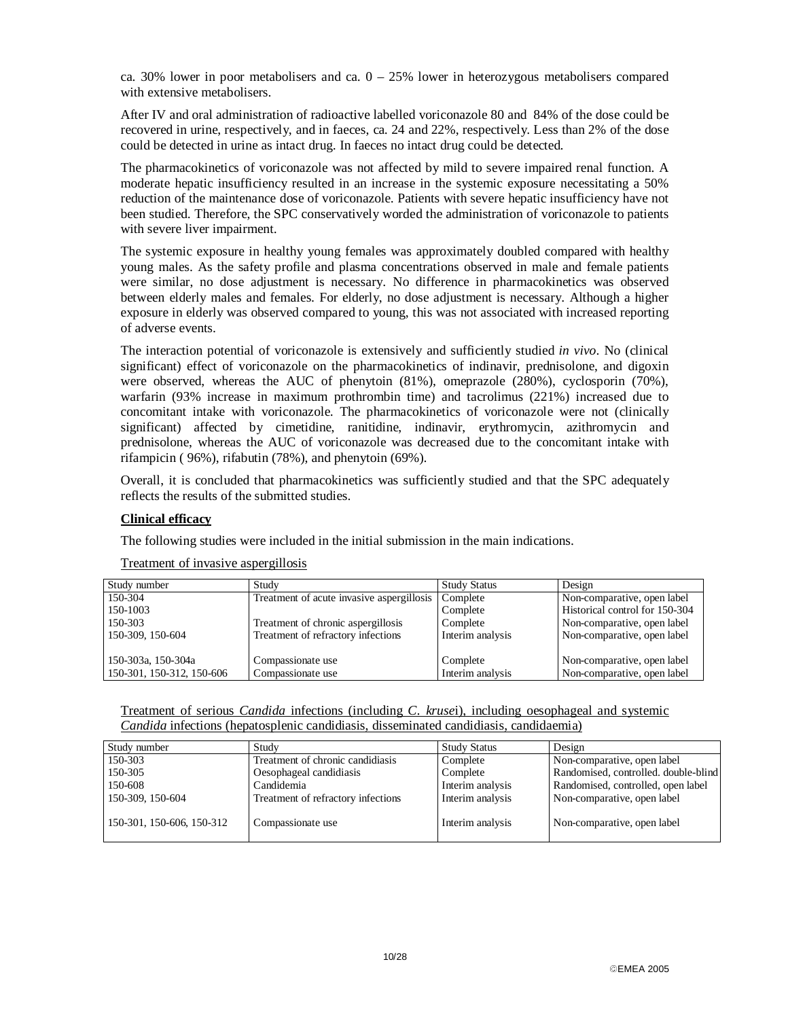ca. 30% lower in poor metabolisers and ca.  $0 - 25%$  lower in heterozygous metabolisers compared with extensive metabolisers.

After IV and oral administration of radioactive labelled voriconazole 80 and 84% of the dose could be recovered in urine, respectively, and in faeces, ca. 24 and 22%, respectively. Less than 2% of the dose could be detected in urine as intact drug. In faeces no intact drug could be detected*.* 

The pharmacokinetics of voriconazole was not affected by mild to severe impaired renal function. A moderate hepatic insufficiency resulted in an increase in the systemic exposure necessitating a 50% reduction of the maintenance dose of voriconazole. Patients with severe hepatic insufficiency have not been studied. Therefore, the SPC conservatively worded the administration of voriconazole to patients with severe liver impairment.

The systemic exposure in healthy young females was approximately doubled compared with healthy young males. As the safety profile and plasma concentrations observed in male and female patients were similar, no dose adjustment is necessary. No difference in pharmacokinetics was observed between elderly males and females. For elderly, no dose adjustment is necessary. Although a higher exposure in elderly was observed compared to young, this was not associated with increased reporting of adverse events.

The interaction potential of voriconazole is extensively and sufficiently studied *in vivo*. No (clinical significant) effect of voriconazole on the pharmacokinetics of indinavir, prednisolone, and digoxin were observed, whereas the AUC of phenytoin (81%), omeprazole (280%), cyclosporin (70%), warfarin (93% increase in maximum prothrombin time) and tacrolimus (221%) increased due to concomitant intake with voriconazole. The pharmacokinetics of voriconazole were not (clinically significant) affected by cimetidine, ranitidine, indinavir, erythromycin, azithromycin and prednisolone, whereas the AUC of voriconazole was decreased due to the concomitant intake with rifampicin ( 96%), rifabutin (78%), and phenytoin (69%).

Overall, it is concluded that pharmacokinetics was sufficiently studied and that the SPC adequately reflects the results of the submitted studies.

#### **Clinical efficacy**

The following studies were included in the initial submission in the main indications.

| Study number              | Study                                     | <b>Study Status</b> | Design                         |
|---------------------------|-------------------------------------------|---------------------|--------------------------------|
| 150-304                   | Treatment of acute invasive aspergillosis | Complete            | Non-comparative, open label    |
| 150-1003                  |                                           | Complete            | Historical control for 150-304 |
| 150-303                   | Treatment of chronic aspergillosis        | Complete            | Non-comparative, open label    |
| 150-309, 150-604          | Treatment of refractory infections        | Interim analysis    | Non-comparative, open label    |
|                           |                                           |                     |                                |
| 150-303a, 150-304a        | Compassionate use                         | Complete            | Non-comparative, open label    |
| 150-301, 150-312, 150-606 | Compassionate use                         | Interim analysis    | Non-comparative, open label    |

#### Treatment of invasive aspergillosis

Treatment of serious *Candida* infections (including *C. kruse*i), including oesophageal and systemic *Candida* infections (hepatosplenic candidiasis, disseminated candidiasis, candidaemia)

| Study number              | Study                              | <b>Study Status</b> | Design                               |
|---------------------------|------------------------------------|---------------------|--------------------------------------|
| 150-303                   | Treatment of chronic candidiasis   | Complete            | Non-comparative, open label          |
| 150-305                   | Oesophageal candidiasis            | Complete            | Randomised, controlled. double-blind |
| 150-608                   | Candidemia                         | Interim analysis    | Randomised, controlled, open label   |
| 150-309, 150-604          | Treatment of refractory infections | Interim analysis    | Non-comparative, open label          |
| 150-301, 150-606, 150-312 | Compassionate use                  | Interim analysis    | Non-comparative, open label          |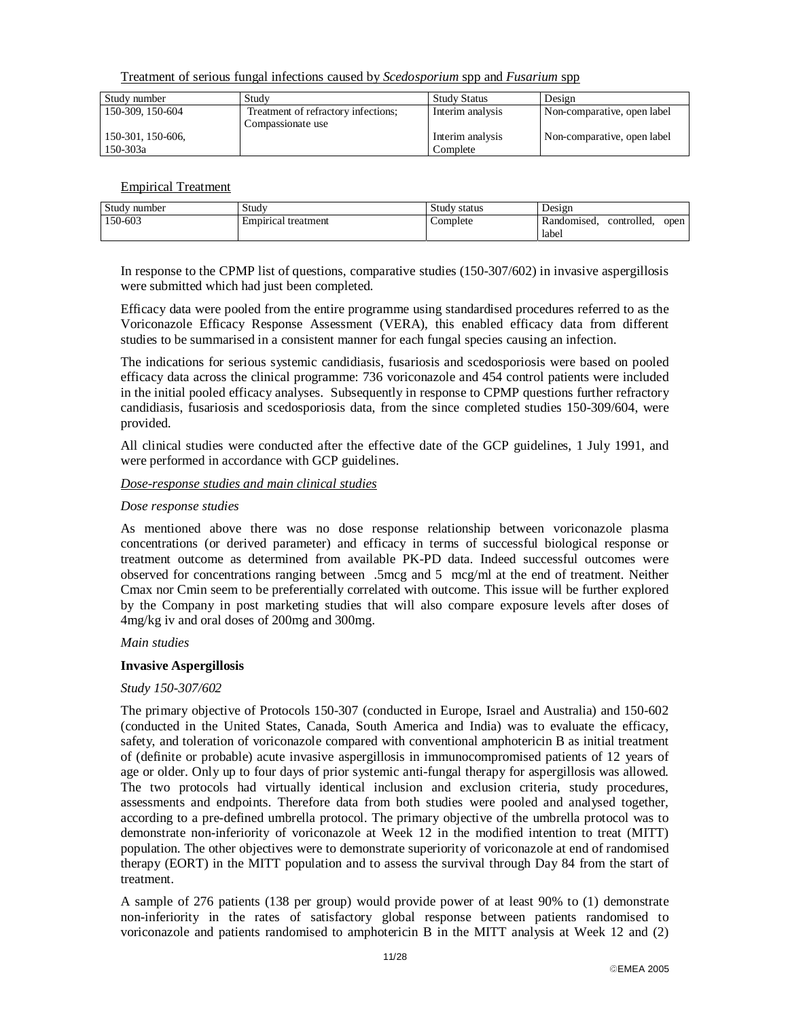Treatment of serious fungal infections caused by *Scedosporium* spp and *Fusarium* spp

| Study number      | Study                               | <b>Study Status</b> | Design                      |
|-------------------|-------------------------------------|---------------------|-----------------------------|
| 150-309, 150-604  | Treatment of refractory infections; | Interim analysis    | Non-comparative, open label |
|                   | Compassionate use                   |                     |                             |
| 150-301, 150-606, |                                     | Interim analysis    | Non-comparative, open label |
| 150-303a          |                                     | Complete            |                             |

Empirical Treatment

| Study number | Study               | Study status | Design      |             |      |
|--------------|---------------------|--------------|-------------|-------------|------|
| 150-603      | Empirical treatment | Complete     | Randomised. | controlled. | open |
|              |                     |              | label       |             |      |

In response to the CPMP list of questions, comparative studies (150-307/602) in invasive aspergillosis were submitted which had just been completed.

Efficacy data were pooled from the entire programme using standardised procedures referred to as the Voriconazole Efficacy Response Assessment (VERA), this enabled efficacy data from different studies to be summarised in a consistent manner for each fungal species causing an infection.

The indications for serious systemic candidiasis, fusariosis and scedosporiosis were based on pooled efficacy data across the clinical programme: 736 voriconazole and 454 control patients were included in the initial pooled efficacy analyses. Subsequently in response to CPMP questions further refractory candidiasis, fusariosis and scedosporiosis data, from the since completed studies 150-309/604, were provided.

All clinical studies were conducted after the effective date of the GCP guidelines, 1 July 1991, and were performed in accordance with GCP guidelines.

#### *Dose-response studies and main clinical studies*

#### *Dose response studies*

As mentioned above there was no dose response relationship between voriconazole plasma concentrations (or derived parameter) and efficacy in terms of successful biological response or treatment outcome as determined from available PK-PD data. Indeed successful outcomes were observed for concentrations ranging between .5mcg and 5 mcg/ml at the end of treatment. Neither Cmax nor Cmin seem to be preferentially correlated with outcome. This issue will be further explored by the Company in post marketing studies that will also compare exposure levels after doses of 4mg/kg iv and oral doses of 200mg and 300mg.

*Main studies*

#### **Invasive Aspergillosis**

#### *Study 150-307/602*

The primary objective of Protocols 150-307 (conducted in Europe, Israel and Australia) and 150-602 (conducted in the United States, Canada, South America and India) was to evaluate the efficacy, safety, and toleration of voriconazole compared with conventional amphotericin B as initial treatment of (definite or probable) acute invasive aspergillosis in immunocompromised patients of 12 years of age or older. Only up to four days of prior systemic anti-fungal therapy for aspergillosis was allowed. The two protocols had virtually identical inclusion and exclusion criteria, study procedures, assessments and endpoints. Therefore data from both studies were pooled and analysed together, according to a pre-defined umbrella protocol. The primary objective of the umbrella protocol was to demonstrate non-inferiority of voriconazole at Week 12 in the modified intention to treat (MITT) population. The other objectives were to demonstrate superiority of voriconazole at end of randomised therapy (EORT) in the MITT population and to assess the survival through Day 84 from the start of treatment.

A sample of 276 patients (138 per group) would provide power of at least 90% to (1) demonstrate non-inferiority in the rates of satisfactory global response between patients randomised to voriconazole and patients randomised to amphotericin B in the MITT analysis at Week 12 and (2)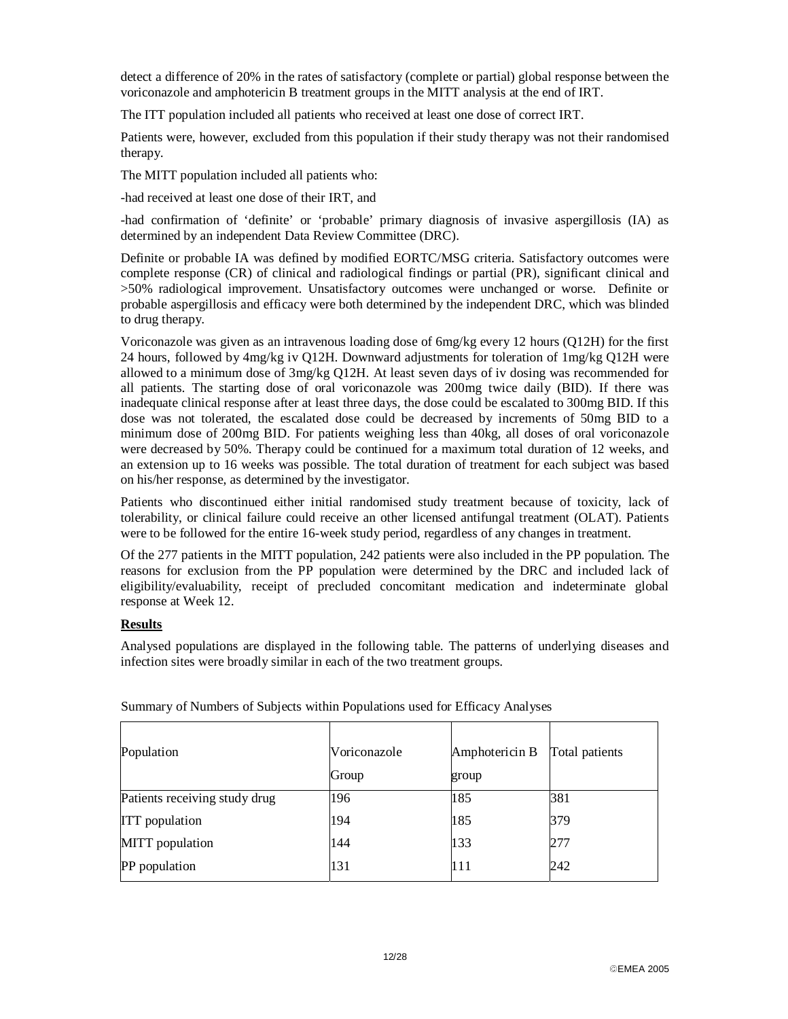detect a difference of 20% in the rates of satisfactory (complete or partial) global response between the voriconazole and amphotericin B treatment groups in the MITT analysis at the end of IRT.

The ITT population included all patients who received at least one dose of correct IRT.

Patients were, however, excluded from this population if their study therapy was not their randomised therapy.

The MITT population included all patients who:

-had received at least one dose of their IRT, and

-had confirmation of 'definite' or 'probable' primary diagnosis of invasive aspergillosis (IA) as determined by an independent Data Review Committee (DRC).

Definite or probable IA was defined by modified EORTC/MSG criteria. Satisfactory outcomes were complete response (CR) of clinical and radiological findings or partial (PR), significant clinical and >50% radiological improvement. Unsatisfactory outcomes were unchanged or worse. Definite or probable aspergillosis and efficacy were both determined by the independent DRC, which was blinded to drug therapy.

Voriconazole was given as an intravenous loading dose of 6mg/kg every 12 hours (Q12H) for the first 24 hours, followed by 4mg/kg iv Q12H. Downward adjustments for toleration of 1mg/kg Q12H were allowed to a minimum dose of 3mg/kg Q12H. At least seven days of iv dosing was recommended for all patients. The starting dose of oral voriconazole was 200mg twice daily (BID). If there was inadequate clinical response after at least three days, the dose could be escalated to 300mg BID. If this dose was not tolerated, the escalated dose could be decreased by increments of 50mg BID to a minimum dose of 200mg BID. For patients weighing less than 40kg, all doses of oral voriconazole were decreased by 50%. Therapy could be continued for a maximum total duration of 12 weeks, and an extension up to 16 weeks was possible. The total duration of treatment for each subject was based on his/her response, as determined by the investigator.

Patients who discontinued either initial randomised study treatment because of toxicity, lack of tolerability, or clinical failure could receive an other licensed antifungal treatment (OLAT). Patients were to be followed for the entire 16-week study period, regardless of any changes in treatment.

Of the 277 patients in the MITT population, 242 patients were also included in the PP population. The reasons for exclusion from the PP population were determined by the DRC and included lack of eligibility/evaluability, receipt of precluded concomitant medication and indeterminate global response at Week 12.

#### **Results**

Analysed populations are displayed in the following table. The patterns of underlying diseases and infection sites were broadly similar in each of the two treatment groups.

| Population                    | Voriconazole<br>Group | Amphotericin B<br>group | Total patients |
|-------------------------------|-----------------------|-------------------------|----------------|
| Patients receiving study drug | 196                   | 185                     | 381            |
| <b>ITT</b> population         | 194                   | 185                     | 379            |
| MITT population               | 144                   | 133                     | 277            |
| PP population                 | 131                   | 111                     | 242            |

Summary of Numbers of Subjects within Populations used for Efficacy Analyses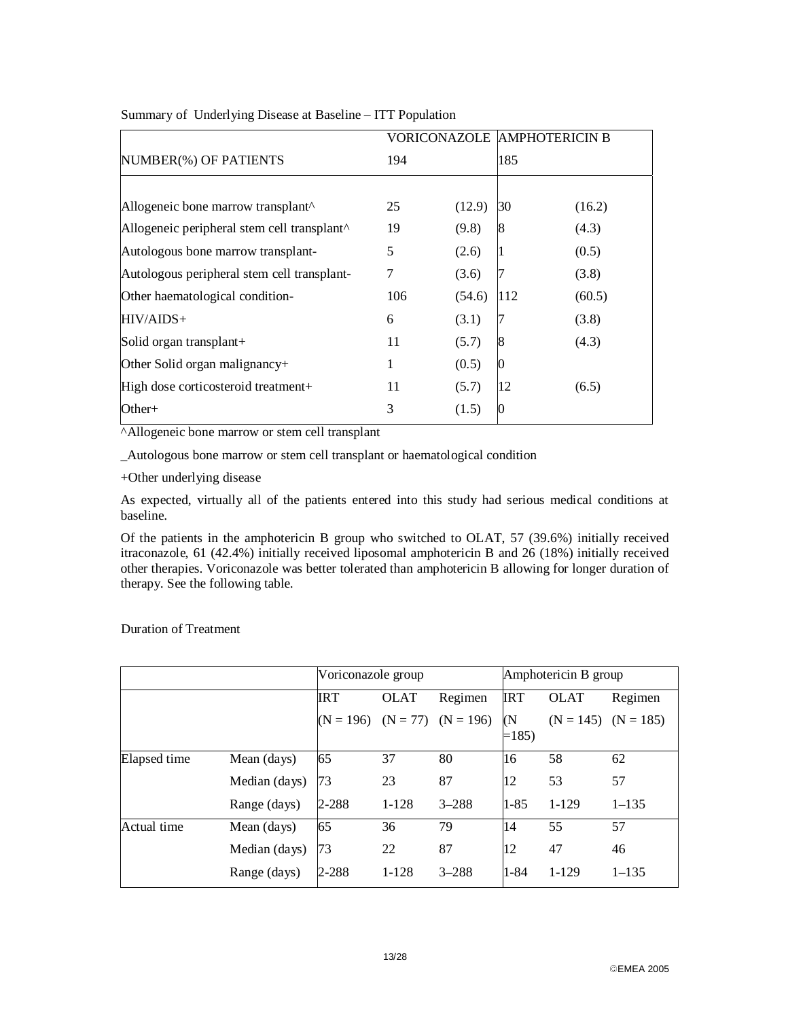|                                                         |     |        | VORICONAZOLE IAMPHOTERICIN B |        |
|---------------------------------------------------------|-----|--------|------------------------------|--------|
| NUMBER(%) OF PATIENTS                                   | 194 |        | 185                          |        |
|                                                         |     |        |                              |        |
| Allogeneic bone marrow transplant <sup>^</sup>          | 25  | (12.9) | 30                           | (16.2) |
| Allogeneic peripheral stem cell transplant <sup>^</sup> | 19  | (9.8)  | 8                            | (4.3)  |
| Autologous bone marrow transplant-                      | 5   | (2.6)  | Ш                            | (0.5)  |
| Autologous peripheral stem cell transplant-             | 7   | (3.6)  |                              | (3.8)  |
| Other haematological condition-                         | 106 | (54.6) | 112                          | (60.5) |
| $HIV/AIDS+$                                             | 6   | (3.1)  |                              | (3.8)  |
| Solid organ transplant+                                 | 11  | (5.7)  | 8                            | (4.3)  |
| Other Solid organ malignancy $+$                        | 1   | (0.5)  | 0                            |        |
| High dose corticosteroid treatment+                     | 11  | (5.7)  | 12                           | (6.5)  |
| Other+                                                  | 3   | (1.5)  | 0                            |        |

Summary of Underlying Disease at Baseline – ITT Population

^Allogeneic bone marrow or stem cell transplant

\_Autologous bone marrow or stem cell transplant or haematological condition

+Other underlying disease

As expected, virtually all of the patients entered into this study had serious medical conditions at baseline.

Of the patients in the amphotericin B group who switched to OLAT, 57 (39.6%) initially received itraconazole, 61 (42.4%) initially received liposomal amphotericin B and 26 (18%) initially received other therapies. Voriconazole was better tolerated than amphotericin B allowing for longer duration of therapy. See the following table.

|              |               |             | Voriconazole group |             |              | Amphotericin B group |             |  |
|--------------|---------------|-------------|--------------------|-------------|--------------|----------------------|-------------|--|
|              |               | IRT         | <b>OLAT</b>        | Regimen     | <b>IRT</b>   | <b>OLAT</b>          | Regimen     |  |
|              |               | $(N = 196)$ | $(N = 77)$         | $(N = 196)$ | (N<br>$=185$ | $(N = 145)$          | $(N = 185)$ |  |
| Elapsed time | Mean (days)   | 65          | 37                 | 80          | 16           | 58                   | 62          |  |
|              | Median (days) | 73          | 23                 | 87          | 12           | 53                   | 57          |  |
|              | Range (days)  | 2-288       | $1 - 128$          | $3 - 288$   | $1 - 85$     | $1-129$              | $1 - 135$   |  |
| Actual time  | Mean (days)   | 65          | 36                 | 79          | 14           | 55                   | 57          |  |
|              | Median (days) | 73          | 22                 | 87          | 12           | 47                   | 46          |  |
|              | Range (days)  | 2-288       | $1 - 128$          | $3 - 288$   | $1 - 84$     | $1-129$              | $1 - 135$   |  |

Duration of Treatment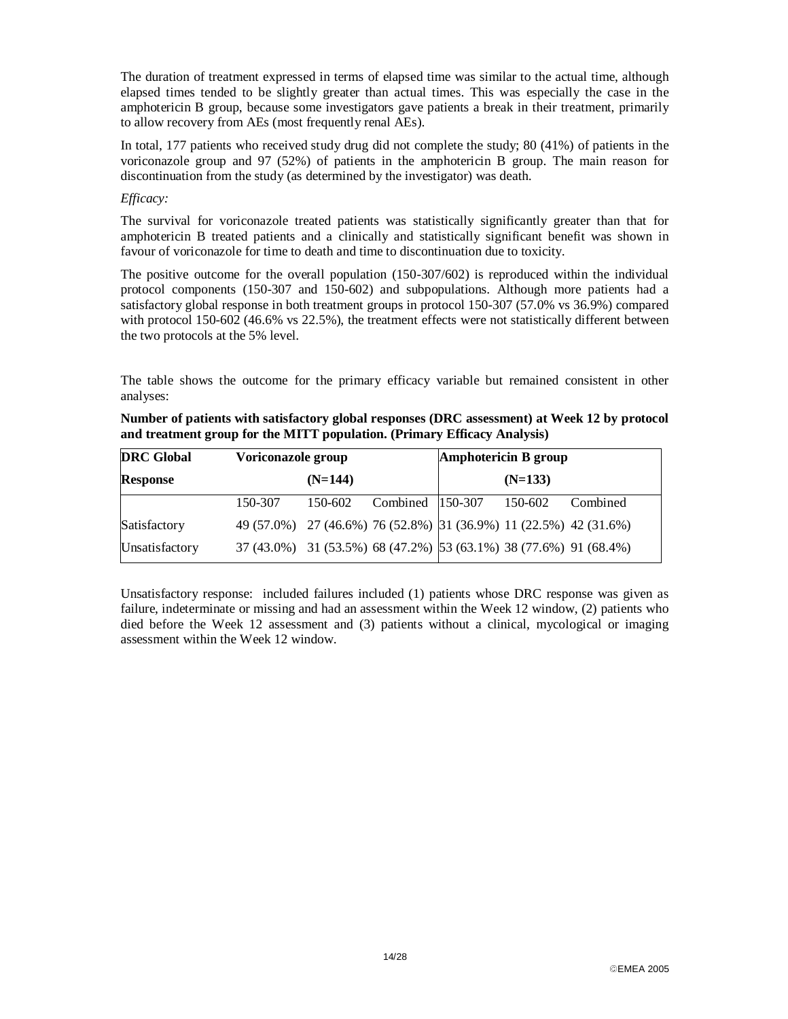The duration of treatment expressed in terms of elapsed time was similar to the actual time, although elapsed times tended to be slightly greater than actual times. This was especially the case in the amphotericin B group, because some investigators gave patients a break in their treatment, primarily to allow recovery from AEs (most frequently renal AEs).

In total, 177 patients who received study drug did not complete the study; 80 (41%) of patients in the voriconazole group and 97 (52%) of patients in the amphotericin B group. The main reason for discontinuation from the study (as determined by the investigator) was death.

#### *Efficacy:*

The survival for voriconazole treated patients was statistically significantly greater than that for amphotericin B treated patients and a clinically and statistically significant benefit was shown in favour of voriconazole for time to death and time to discontinuation due to toxicity.

The positive outcome for the overall population (150-307/602) is reproduced within the individual protocol components (150-307 and 150-602) and subpopulations. Although more patients had a satisfactory global response in both treatment groups in protocol 150-307 (57.0% vs 36.9%) compared with protocol 150-602 (46.6% vs 22.5%), the treatment effects were not statistically different between the two protocols at the 5% level.

The table shows the outcome for the primary efficacy variable but remained consistent in other analyses:

| Number of patients with satisfactory global responses (DRC assessment) at Week 12 by protocol |
|-----------------------------------------------------------------------------------------------|
| and treatment group for the MITT population. (Primary Efficacy Analysis)                      |

| <b>DRC</b> Global | Voriconazole group                                                |         | Amphotericin B group     |  |  |          |
|-------------------|-------------------------------------------------------------------|---------|--------------------------|--|--|----------|
| <b>Response</b>   | $(N=144)$                                                         |         | $(N=133)$                |  |  |          |
|                   | 150-307                                                           | 150-602 | Combined 150-307 150-602 |  |  | Combined |
| Satisfactory      | 49 (57.0%) 27 (46.6%) 76 (52.8%) 31 (36.9%) 11 (22.5%) 42 (31.6%) |         |                          |  |  |          |
| Unsatisfactory    | 37 (43.0%) 31 (53.5%) 68 (47.2%) 53 (63.1%) 38 (77.6%) 91 (68.4%) |         |                          |  |  |          |

Unsatisfactory response: included failures included (1) patients whose DRC response was given as failure, indeterminate or missing and had an assessment within the Week 12 window, (2) patients who died before the Week 12 assessment and (3) patients without a clinical, mycological or imaging assessment within the Week 12 window.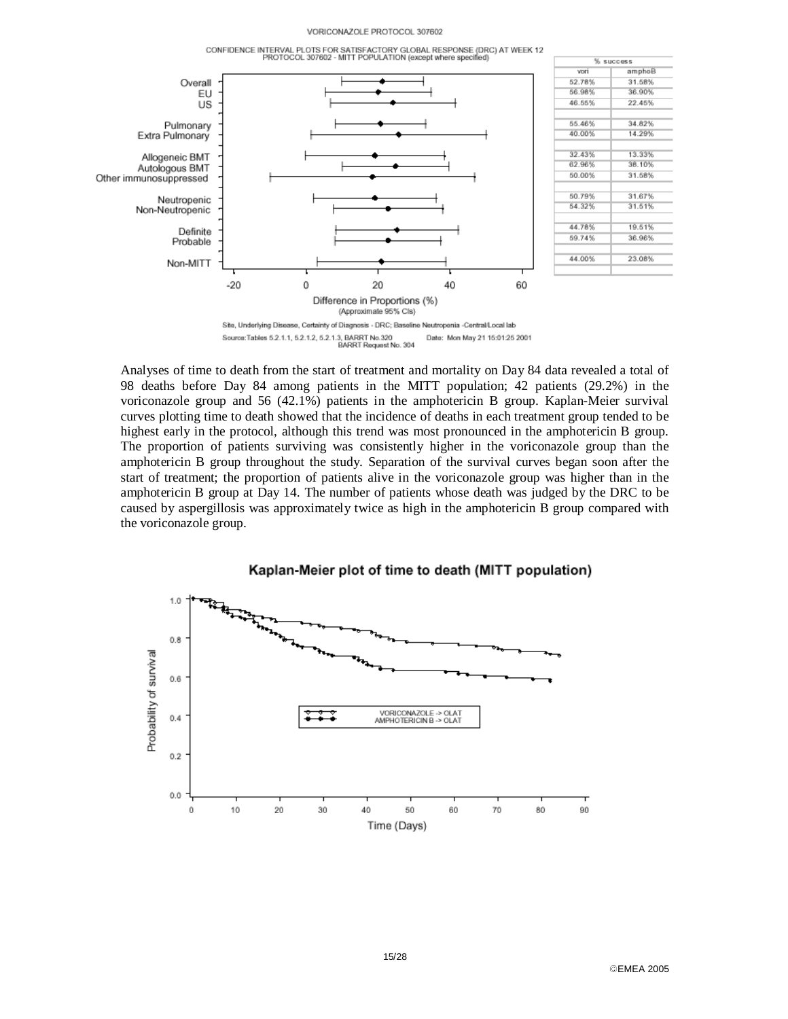#### VORICONAZOLE PROTOCOL 307602



Analyses of time to death from the start of treatment and mortality on Day 84 data revealed a total of 98 deaths before Day 84 among patients in the MITT population; 42 patients (29.2%) in the voriconazole group and 56 (42.1%) patients in the amphotericin B group. Kaplan-Meier survival curves plotting time to death showed that the incidence of deaths in each treatment group tended to be highest early in the protocol, although this trend was most pronounced in the amphotericin B group. The proportion of patients surviving was consistently higher in the voriconazole group than the amphotericin B group throughout the study. Separation of the survival curves began soon after the start of treatment; the proportion of patients alive in the voriconazole group was higher than in the amphotericin B group at Day 14. The number of patients whose death was judged by the DRC to be caused by aspergillosis was approximately twice as high in the amphotericin B group compared with the voriconazole group.



EMEA 2005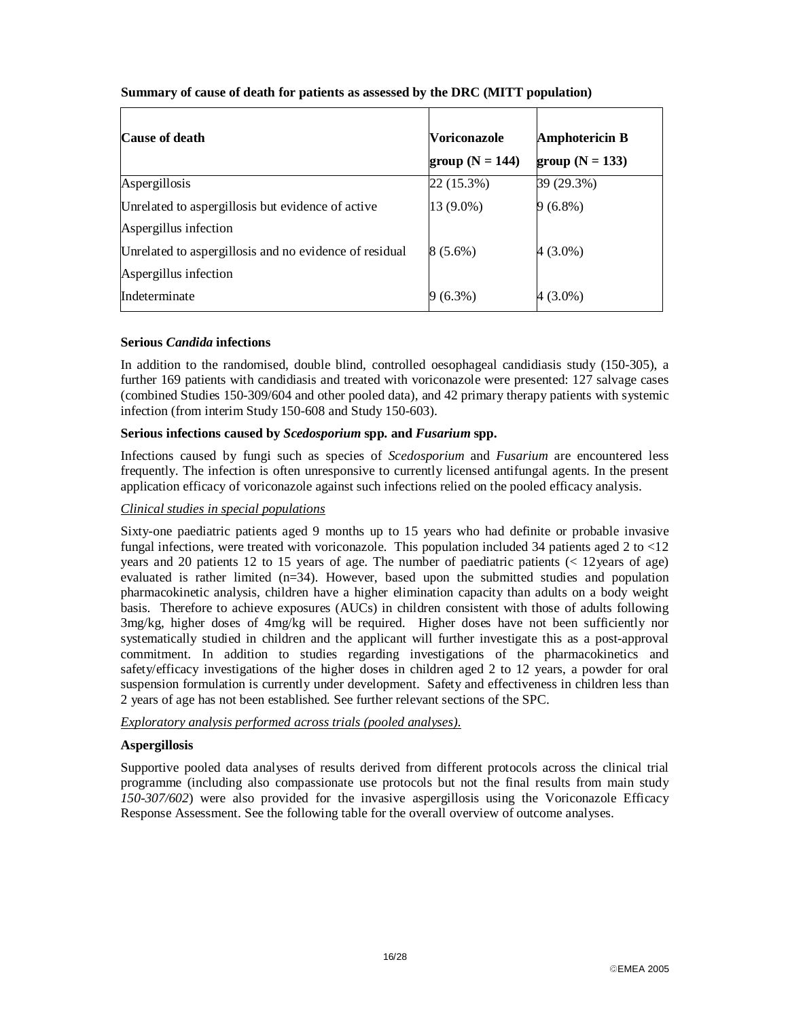| <b>Cause of death</b>                                  | <b>Voriconazole</b> | <b>Amphotericin B</b> |
|--------------------------------------------------------|---------------------|-----------------------|
|                                                        | group ( $N = 144$ ) | group $(N = 133)$     |
| Aspergillosis                                          | 22 (15.3%)          | 39 (29.3%)            |
| Unrelated to aspergillosis but evidence of active      | 13 (9.0%)           | $9(6.8\%)$            |
| Aspergillus infection                                  |                     |                       |
| Unrelated to aspergillosis and no evidence of residual | $8(5.6\%)$          | 4 (3.0%)              |
| Aspergillus infection                                  |                     |                       |
| Indeterminate                                          | $(6.3\%)$           | $4(3.0\%)$            |

### **Summary of cause of death for patients as assessed by the DRC (MITT population)**

#### **Serious** *Candida* **infections**

In addition to the randomised, double blind, controlled oesophageal candidiasis study (150-305), a further 169 patients with candidiasis and treated with voriconazole were presented: 127 salvage cases (combined Studies 150-309/604 and other pooled data), and 42 primary therapy patients with systemic infection (from interim Study 150-608 and Study 150-603).

### **Serious infections caused by** *Scedosporium* **spp. and** *Fusarium* **spp.**

Infections caused by fungi such as species of *Scedosporium* and *Fusarium* are encountered less frequently. The infection is often unresponsive to currently licensed antifungal agents. In the present application efficacy of voriconazole against such infections relied on the pooled efficacy analysis.

## *Clinical studies in special populations*

Sixty-one paediatric patients aged 9 months up to 15 years who had definite or probable invasive fungal infections, were treated with voriconazole. This population included 34 patients aged 2 to  $\langle 12 \rangle$ years and 20 patients 12 to 15 years of age. The number of paediatric patients (< 12years of age) evaluated is rather limited (n=34). However, based upon the submitted studies and population pharmacokinetic analysis, children have a higher elimination capacity than adults on a body weight basis. Therefore to achieve exposures (AUCs) in children consistent with those of adults following 3mg/kg, higher doses of 4mg/kg will be required. Higher doses have not been sufficiently nor systematically studied in children and the applicant will further investigate this as a post-approval commitment. In addition to studies regarding investigations of the pharmacokinetics and safety/efficacy investigations of the higher doses in children aged 2 to 12 years, a powder for oral suspension formulation is currently under development. Safety and effectiveness in children less than 2 years of age has not been established. See further relevant sections of the SPC.

#### *Exploratory analysis performed across trials (pooled analyses).*

#### **Aspergillosis**

Supportive pooled data analyses of results derived from different protocols across the clinical trial programme (including also compassionate use protocols but not the final results from main study *150-307/602*) were also provided for the invasive aspergillosis using the Voriconazole Efficacy Response Assessment. See the following table for the overall overview of outcome analyses.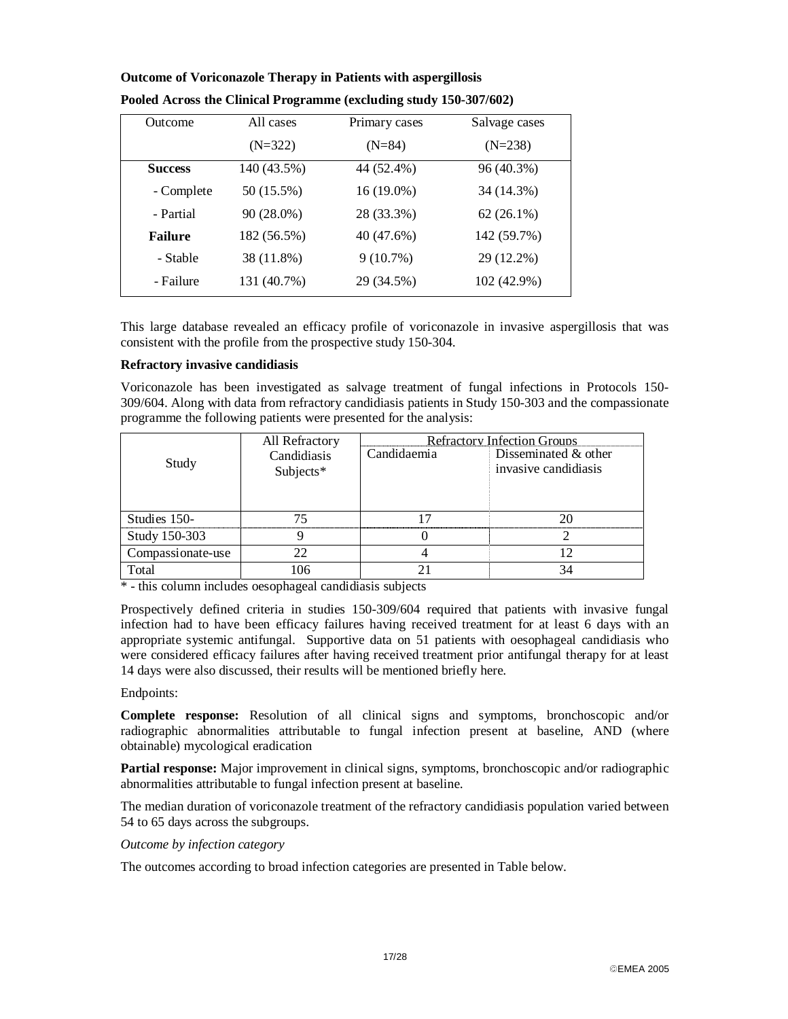| Outcome        | All cases   | Primary cases | Salvage cases |
|----------------|-------------|---------------|---------------|
|                | $(N=322)$   | $(N=84)$      | $(N=238)$     |
| <b>Success</b> | 140 (43.5%) | 44 (52.4%)    | 96 (40.3%)    |
| - Complete     | 50 (15.5%)  | 16 (19.0%)    | 34 (14.3%)    |
| - Partial      | 90 (28.0%)  | 28 (33.3%)    | $62(26.1\%)$  |
| <b>Failure</b> | 182 (56.5%) | 40 (47.6%)    | 142 (59.7%)   |
| - Stable       | 38 (11.8%)  | 9(10.7%)      | 29 (12.2%)    |
| - Failure      | 131 (40.7%) | 29 (34.5%)    | 102 (42.9%)   |

# **Outcome of Voriconazole Therapy in Patients with aspergillosis Pooled Across the Clinical Programme (excluding study 150-307/602)**

This large database revealed an efficacy profile of voriconazole in invasive aspergillosis that was consistent with the profile from the prospective study 150-304.

### **Refractory invasive candidiasis**

Voriconazole has been investigated as salvage treatment of fungal infections in Protocols 150- 309/604. Along with data from refractory candidiasis patients in Study 150-303 and the compassionate programme the following patients were presented for the analysis:

|                   | All Refractory | <b>Refractory Infection Groups</b> |                        |  |  |
|-------------------|----------------|------------------------------------|------------------------|--|--|
| Study             | Candidiasis    | Candidaemia                        | Disseminated $&$ other |  |  |
|                   | Subjects*      |                                    | invasive candidiasis   |  |  |
|                   |                |                                    |                        |  |  |
|                   |                |                                    |                        |  |  |
| Studies 150-      |                |                                    |                        |  |  |
| Study 150-303     |                |                                    |                        |  |  |
| Compassionate-use |                |                                    |                        |  |  |
| Total             | 106            |                                    |                        |  |  |

\* - this column includes oesophageal candidiasis subjects

Prospectively defined criteria in studies 150-309/604 required that patients with invasive fungal infection had to have been efficacy failures having received treatment for at least 6 days with an appropriate systemic antifungal. Supportive data on 51 patients with oesophageal candidiasis who were considered efficacy failures after having received treatment prior antifungal therapy for at least 14 days were also discussed, their results will be mentioned briefly here.

#### Endpoints:

**Complete response:** Resolution of all clinical signs and symptoms, bronchoscopic and/or radiographic abnormalities attributable to fungal infection present at baseline, AND (where obtainable) mycological eradication

**Partial response:** Major improvement in clinical signs, symptoms, bronchoscopic and/or radiographic abnormalities attributable to fungal infection present at baseline.

The median duration of voriconazole treatment of the refractory candidiasis population varied between 54 to 65 days across the subgroups.

#### *Outcome by infection category*

The outcomes according to broad infection categories are presented in Table below.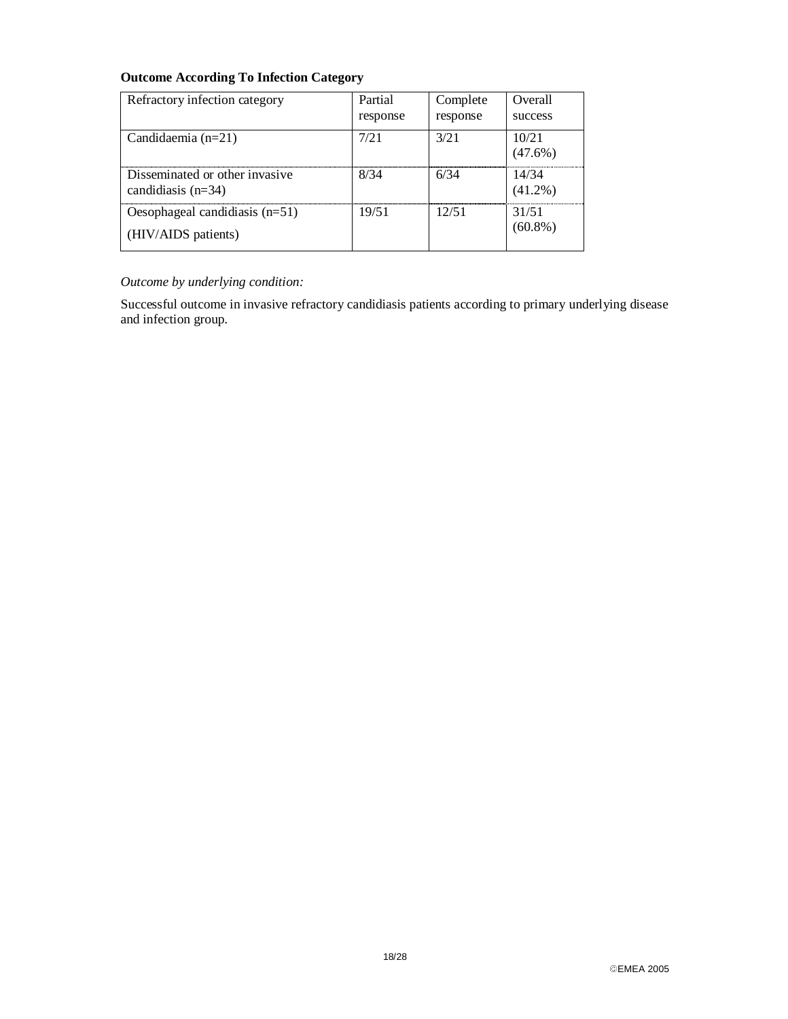# **Outcome According To Infection Category**

| Refractory infection category                           | Partial<br>response | Complete<br>response | Overall<br>success  |
|---------------------------------------------------------|---------------------|----------------------|---------------------|
| Candidaemia $(n=21)$                                    | 7/21                | 3/21                 | 10/21<br>$(47.6\%)$ |
| Disseminated or other invasive<br>candidiasis $(n=34)$  | 8/34                | 6/34                 | 14/34<br>$(41.2\%)$ |
| Oesophageal candidiasis $(n=51)$<br>(HIV/AIDS patients) | 19/51               | 12/51                | 31/51<br>$(60.8\%)$ |

# *Outcome by underlying condition:*

Successful outcome in invasive refractory candidiasis patients according to primary underlying disease and infection group.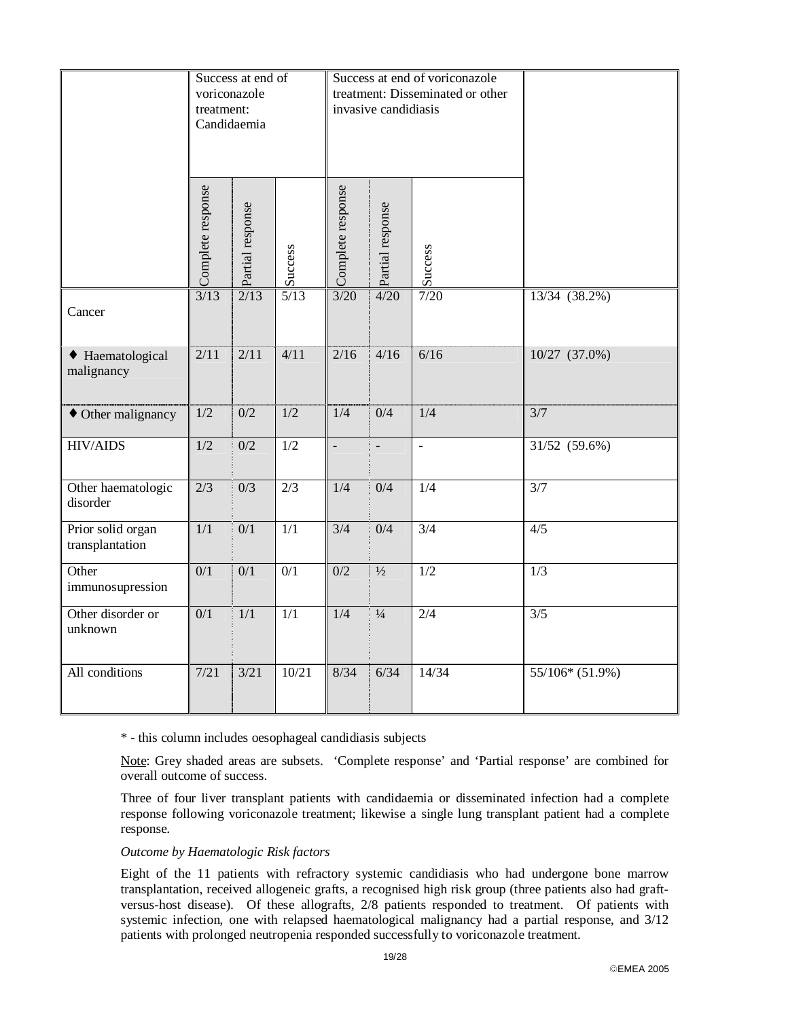|                                      | treatment:        | Success at end of<br>voriconazole<br>Candidaemia |                  | Success at end of voriconazole<br>treatment: Disseminated or other<br>invasive candidiasis |                  |                  |                          |
|--------------------------------------|-------------------|--------------------------------------------------|------------------|--------------------------------------------------------------------------------------------|------------------|------------------|--------------------------|
|                                      | Complete response | Partial response                                 | Success          | Complete response                                                                          | Partial response | Success          |                          |
| Cancer                               | 3/13              | 2/13                                             | $5/13$           | $3/20$                                                                                     | 4/20             | $7/20$           | 13/34 (38.2%)            |
| • Haematological<br>malignancy       | 2/11              | 2/11                                             | 4/11             | 2/16                                                                                       | 4/16             | 6/16             | 10/27 (37.0%)            |
| • Other malignancy                   | 1/2               | 0/2                                              | 1/2              | 1/4                                                                                        | 0/4              | 1/4              | 3/7                      |
| <b>HIV/AIDS</b>                      | 1/2               | 0/2                                              | 1/2              | $\overline{a}$                                                                             | $\overline{a}$   | $\overline{a}$   | $31/52$ (59.6%)          |
| Other haematologic<br>disorder       | $\overline{2/3}$  | $\overline{0/3}$                                 | $\overline{2/3}$ | 1/4                                                                                        | $\overline{0/4}$ | 1/4              | $\overline{\frac{3}{7}}$ |
| Prior solid organ<br>transplantation | 1/1               | 0/1                                              | 1/1              | 3/4                                                                                        | 0/4              | $\overline{3/4}$ | 4/5                      |
| Other<br>immunosupression            | 0/1               | 0/1                                              | 0/1              | 0/2                                                                                        | $\frac{1}{2}$    | 1/2              | 1/3                      |
| Other disorder or<br>unknown         | 0/1               | 1/1                                              | 1/1              | 1/4                                                                                        | $\frac{1}{4}$    | $\overline{2/4}$ | $\overline{3/5}$         |
| All conditions                       | 7/21              | $\frac{3}{21}$                                   | 10/21            | 8/34                                                                                       | 6/34             | 14/34            | $55/106*(51.9%)$         |

\* - this column includes oesophageal candidiasis subjects

Note: Grey shaded areas are subsets. 'Complete response' and 'Partial response' are combined for overall outcome of success.

Three of four liver transplant patients with candidaemia or disseminated infection had a complete response following voriconazole treatment; likewise a single lung transplant patient had a complete response.

#### *Outcome by Haematologic Risk factors*

Eight of the 11 patients with refractory systemic candidiasis who had undergone bone marrow transplantation, received allogeneic grafts, a recognised high risk group (three patients also had graftversus-host disease). Of these allografts, 2/8 patients responded to treatment. Of patients with systemic infection, one with relapsed haematological malignancy had a partial response, and 3/12 patients with prolonged neutropenia responded successfully to voriconazole treatment.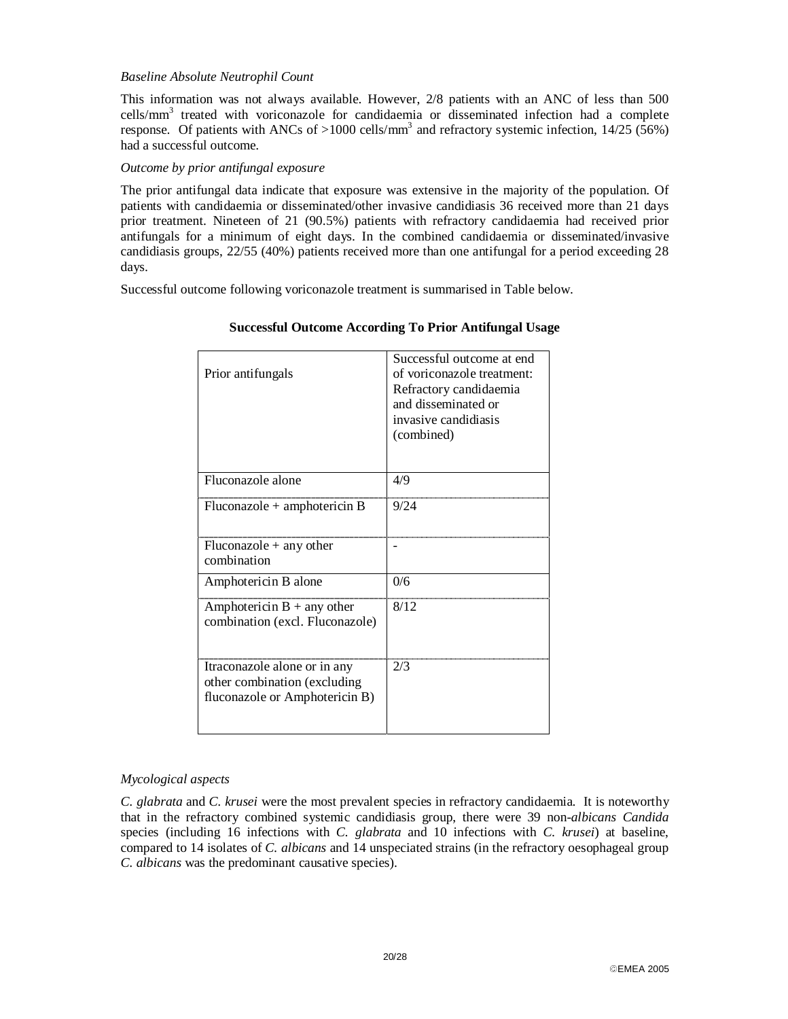#### *Baseline Absolute Neutrophil Count*

This information was not always available. However, 2/8 patients with an ANC of less than 500 cells/mm<sup>3</sup> treated with voriconazole for candidaemia or disseminated infection had a complete response. Of patients with ANCs of >1000 cells/mm<sup>3</sup> and refractory systemic infection,  $14/25$  (56%) had a successful outcome.

#### *Outcome by prior antifungal exposure*

The prior antifungal data indicate that exposure was extensive in the majority of the population. Of patients with candidaemia or disseminated/other invasive candidiasis 36 received more than 21 days prior treatment. Nineteen of 21 (90.5%) patients with refractory candidaemia had received prior antifungals for a minimum of eight days. In the combined candidaemia or disseminated/invasive candidiasis groups, 22/55 (40%) patients received more than one antifungal for a period exceeding 28 days.

Successful outcome following voriconazole treatment is summarised in Table below.

| Prior antifungals                                                                               | Successful outcome at end<br>of voriconazole treatment:<br>Refractory candidaemia<br>and disseminated or<br>invasive candidiasis<br>(combined) |
|-------------------------------------------------------------------------------------------------|------------------------------------------------------------------------------------------------------------------------------------------------|
| Fluconazole alone                                                                               | 4/9                                                                                                                                            |
| $Fluconazole + amphotericin B$                                                                  | 9/24                                                                                                                                           |
| $Fluconazole + any other$<br>combination                                                        |                                                                                                                                                |
| Amphotericin B alone                                                                            | 0/6                                                                                                                                            |
| Amphotericin $B + any$ other<br>combination (excl. Fluconazole)                                 | 8/12                                                                                                                                           |
| Itraconazole alone or in any<br>other combination (excluding)<br>fluconazole or Amphotericin B) | 2/3                                                                                                                                            |

#### **Successful Outcome According To Prior Antifungal Usage**

#### *Mycological aspects*

*C. glabrata* and *C. krusei* were the most prevalent species in refractory candidaemia. It is noteworthy that in the refractory combined systemic candidiasis group, there were 39 non-*albicans Candida* species (including 16 infections with *C. glabrata* and 10 infections with *C. krusei*) at baseline, compared to 14 isolates of *C. albicans* and 14 unspeciated strains (in the refractory oesophageal group *C. albicans* was the predominant causative species).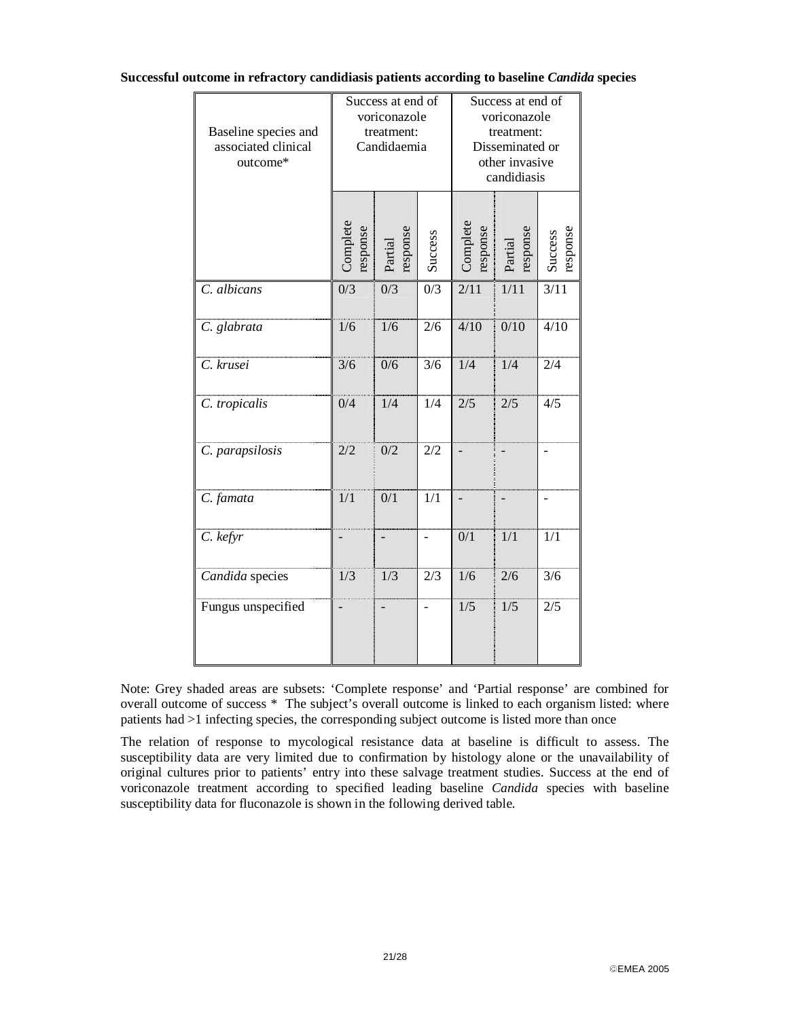#### **Successful outcome in refractory candidiasis patients according to baseline** *Candida* **species**

| Baseline species and<br>associated clinical<br>outcome* | Success at end of<br>voriconazole<br>treatment:<br>Candidaemia |                     |                          | Success at end of<br>voriconazole<br>treatment:<br>Disseminated or<br>other invasive<br>candidiasis |                    |                     |
|---------------------------------------------------------|----------------------------------------------------------------|---------------------|--------------------------|-----------------------------------------------------------------------------------------------------|--------------------|---------------------|
|                                                         | Complete<br>esponse                                            | response<br>Partial | <b>Success</b>           | Complete<br>response                                                                                | esponse<br>Partial | response<br>Success |
| C. albicans                                             | $\overline{0/3}$                                               | $\overline{0/3}$    | $\overline{0/3}$         | $\frac{2}{11}$                                                                                      | 1/11               | 3/11                |
| C. glabrata                                             | 1/6                                                            | 1/6                 | 2/6                      | 4/10                                                                                                | 0/10               | 4/10                |
| C. krusei                                               | 3/6                                                            | 0/6                 | 3/6                      | 1/4                                                                                                 | 1/4                | 2/4                 |
| C. tropicalis                                           | 0/4                                                            | $\overline{1/4}$    | 1/4                      | 2/5                                                                                                 | 2/5                | 4/5                 |
| C. parapsilosis                                         | 2/2                                                            | 0/2                 | 2/2                      |                                                                                                     |                    |                     |
| C. famata                                               | 1/1                                                            | 0/1                 | 1/1                      |                                                                                                     |                    | $\overline{a}$      |
| $C.$ kefyr                                              |                                                                | $\overline{a}$      | $\overline{a}$           | 0/1                                                                                                 | 1/1                | 1/1                 |
| Candida species                                         | 1/3                                                            | $\overline{1/3}$    | 2/3                      | 1/6                                                                                                 | 2/6                | 3/6                 |
| Fungus unspecified                                      |                                                                |                     | $\overline{\phantom{0}}$ | 1/5                                                                                                 | 1/5                | 2/5                 |

Note: Grey shaded areas are subsets: 'Complete response' and 'Partial response' are combined for overall outcome of success \* The subject's overall outcome is linked to each organism listed: where patients had >1 infecting species, the corresponding subject outcome is listed more than once

The relation of response to mycological resistance data at baseline is difficult to assess. The susceptibility data are very limited due to confirmation by histology alone or the unavailability of original cultures prior to patients' entry into these salvage treatment studies. Success at the end of voriconazole treatment according to specified leading baseline *Candida* species with baseline susceptibility data for fluconazole is shown in the following derived table.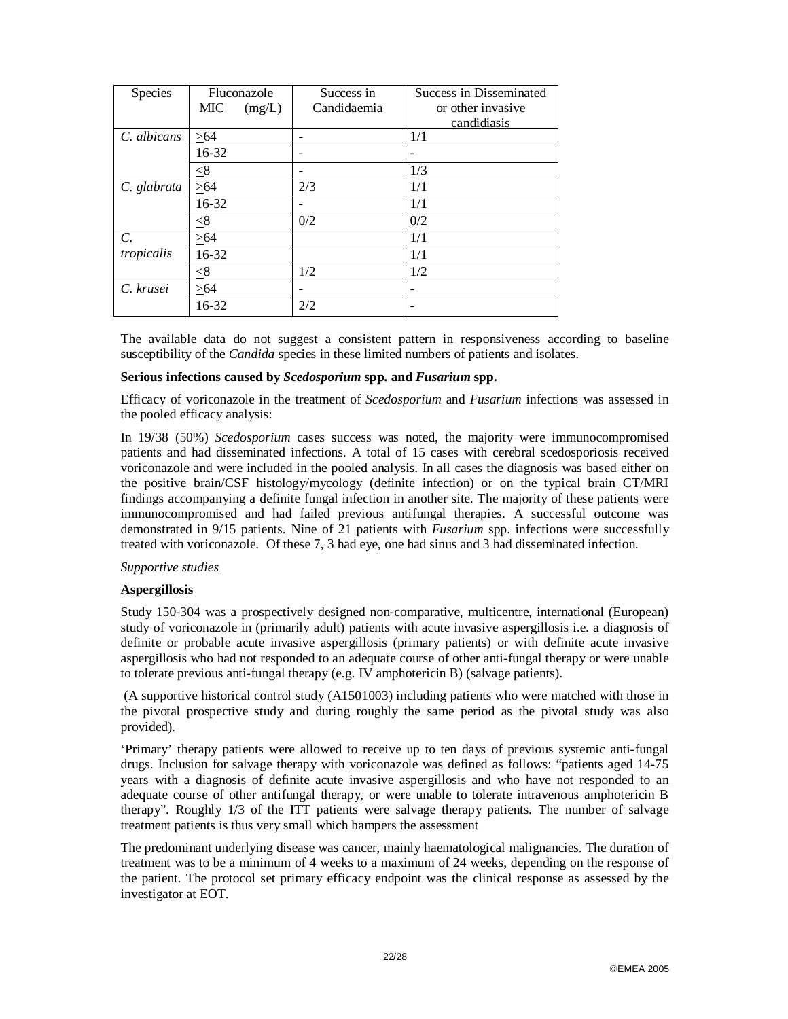| Species         | Fluconazole |        | Success in  | Success in Disseminated |
|-----------------|-------------|--------|-------------|-------------------------|
|                 | MIC         | (mg/L) | Candidaemia | or other invasive       |
|                 |             |        |             | candidiasis             |
| C. albicans     | >64         |        |             | 1/1                     |
|                 | 16-32       |        |             |                         |
|                 | $\leq 8$    |        |             | 1/3                     |
| C. glabrata     | >64         |        | 2/3         | 1/1                     |
|                 | 16-32       |        |             | 1/1                     |
|                 | < 8         |        | 0/2         | 0/2                     |
| $\mathcal{C}$ . | > 64        |        |             | 1/1                     |
| tropicalis      | 16-32       |        |             | 1/1                     |
|                 | $\leq 8$    |        | 1/2         | 1/2                     |
| C. krusei       | >64         |        |             | $\qquad \qquad$         |
|                 | 16-32       |        | 2/2         |                         |

The available data do not suggest a consistent pattern in responsiveness according to baseline susceptibility of the *Candida* species in these limited numbers of patients and isolates.

#### **Serious infections caused by** *Scedosporium* **spp. and** *Fusarium* **spp.**

Efficacy of voriconazole in the treatment of *Scedosporium* and *Fusarium* infections was assessed in the pooled efficacy analysis:

In 19/38 (50%) *Scedosporium* cases success was noted, the majority were immunocompromised patients and had disseminated infections. A total of 15 cases with cerebral scedosporiosis received voriconazole and were included in the pooled analysis. In all cases the diagnosis was based either on the positive brain/CSF histology/mycology (definite infection) or on the typical brain CT/MRI findings accompanying a definite fungal infection in another site. The majority of these patients were immunocompromised and had failed previous antifungal therapies. A successful outcome was demonstrated in 9/15 patients. Nine of 21 patients with *Fusarium* spp. infections were successfully treated with voriconazole. Of these 7, 3 had eye, one had sinus and 3 had disseminated infection.

#### *Supportive studies*

#### **Aspergillosis**

Study 150-304 was a prospectively designed non-comparative, multicentre, international (European) study of voriconazole in (primarily adult) patients with acute invasive aspergillosis i.e. a diagnosis of definite or probable acute invasive aspergillosis (primary patients) or with definite acute invasive aspergillosis who had not responded to an adequate course of other anti-fungal therapy or were unable to tolerate previous anti-fungal therapy (e.g. IV amphotericin B) (salvage patients).

 (A supportive historical control study (A1501003) including patients who were matched with those in the pivotal prospective study and during roughly the same period as the pivotal study was also provided).

'Primary' therapy patients were allowed to receive up to ten days of previous systemic anti-fungal drugs. Inclusion for salvage therapy with voriconazole was defined as follows: "patients aged 14-75 years with a diagnosis of definite acute invasive aspergillosis and who have not responded to an adequate course of other antifungal therapy, or were unable to tolerate intravenous amphotericin B therapy". Roughly 1/3 of the ITT patients were salvage therapy patients. The number of salvage treatment patients is thus very small which hampers the assessment

The predominant underlying disease was cancer, mainly haematological malignancies. The duration of treatment was to be a minimum of 4 weeks to a maximum of 24 weeks, depending on the response of the patient. The protocol set primary efficacy endpoint was the clinical response as assessed by the investigator at EOT.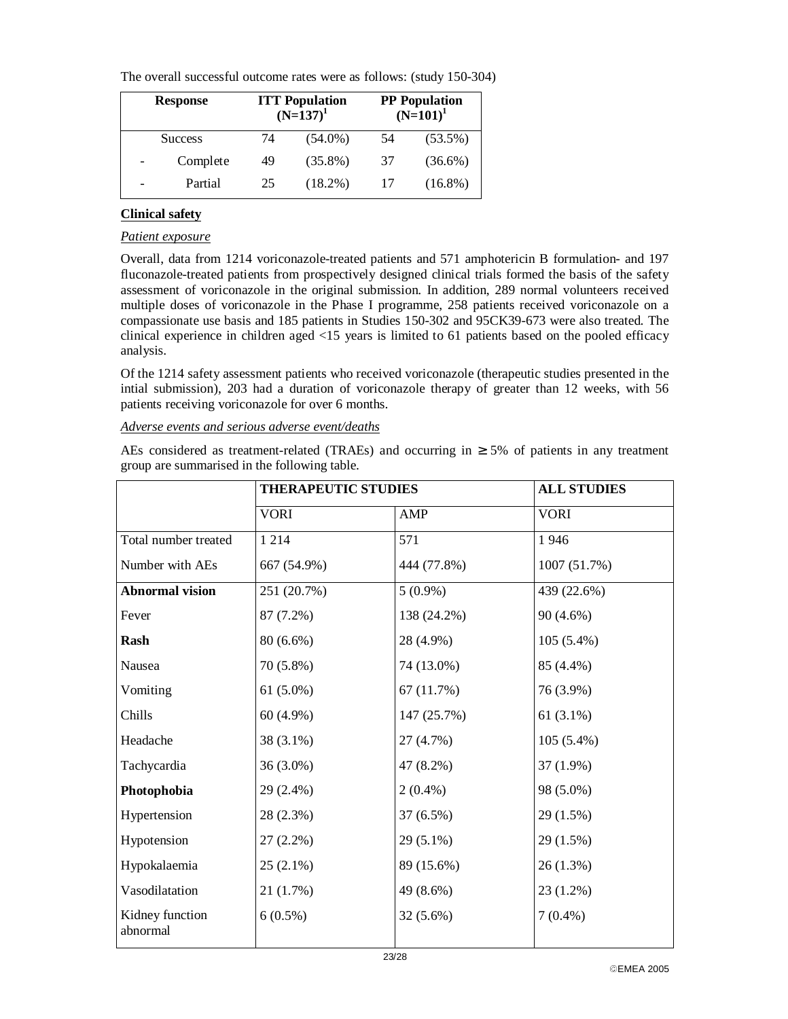The overall successful outcome rates were as follows: (study 150-304)

| <b>Response</b> | <b>ITT</b> Population<br>$(N=137)^1$ |            |    | <b>PP</b> Population<br>$(N=101)^1$ |
|-----------------|--------------------------------------|------------|----|-------------------------------------|
| <b>Success</b>  | 74                                   | $(54.0\%)$ | 54 | $(53.5\%)$                          |
| Complete        | 49                                   | $(35.8\%)$ | 37 | $(36.6\%)$                          |
| Partial         | 25                                   | $(18.2\%)$ |    | $(16.8\%)$                          |

## **Clinical safety**

### *Patient exposure*

Overall, data from 1214 voriconazole-treated patients and 571 amphotericin B formulation- and 197 fluconazole-treated patients from prospectively designed clinical trials formed the basis of the safety assessment of voriconazole in the original submission. In addition, 289 normal volunteers received multiple doses of voriconazole in the Phase I programme, 258 patients received voriconazole on a compassionate use basis and 185 patients in Studies 150-302 and 95CK39-673 were also treated. The clinical experience in children aged <15 years is limited to 61 patients based on the pooled efficacy analysis.

Of the 1214 safety assessment patients who received voriconazole (therapeutic studies presented in the intial submission), 203 had a duration of voriconazole therapy of greater than 12 weeks, with 56 patients receiving voriconazole for over 6 months.

### *Adverse events and serious adverse event/deaths*

AEs considered as treatment-related (TRAEs) and occurring in  $\geq$  5% of patients in any treatment group are summarised in the following table.

|                             | <b>THERAPEUTIC STUDIES</b> |             | <b>ALL STUDIES</b> |  |
|-----------------------------|----------------------------|-------------|--------------------|--|
|                             | <b>VORI</b>                | AMP         | <b>VORI</b>        |  |
| Total number treated        | 1 2 1 4                    | 571         | 1946               |  |
| Number with AEs             | 667 (54.9%)                | 444 (77.8%) | 1007 (51.7%)       |  |
| <b>Abnormal vision</b>      | 251 (20.7%)                | $5(0.9\%)$  | 439 (22.6%)        |  |
| Fever                       | 87 (7.2%)                  | 138 (24.2%) | $90(4.6\%)$        |  |
| Rash                        | 80 (6.6%)                  | 28 (4.9%)   | $105(5.4\%)$       |  |
| Nausea                      | 70 (5.8%)                  | 74 (13.0%)  | 85 (4.4%)          |  |
| Vomiting                    | $61(5.0\%)$                | 67(11.7%)   | 76 (3.9%)          |  |
| Chills                      | 60 (4.9%)                  | 147 (25.7%) | 61 $(3.1\%)$       |  |
| Headache                    | 38 (3.1%)                  | 27 (4.7%)   | $105(5.4\%)$       |  |
| Tachycardia                 | 36 (3.0%)                  | 47 (8.2%)   | $37(1.9\%)$        |  |
| Photophobia                 | 29 (2.4%)                  | $2(0.4\%)$  | 98 (5.0%)          |  |
| Hypertension                | 28 (2.3%)                  | 37 (6.5%)   | 29(1.5%)           |  |
| Hypotension                 | $27(2.2\%)$                | $29(5.1\%)$ | 29 (1.5%)          |  |
| Hypokalaemia                | $25(2.1\%)$                | 89 (15.6%)  | 26(1.3%)           |  |
| Vasodilatation              | 21 (1.7%)                  | 49 (8.6%)   | 23 (1.2%)          |  |
| Kidney function<br>abnormal | $6(0.5\%)$                 | $32(5.6\%)$ | $7(0.4\%)$         |  |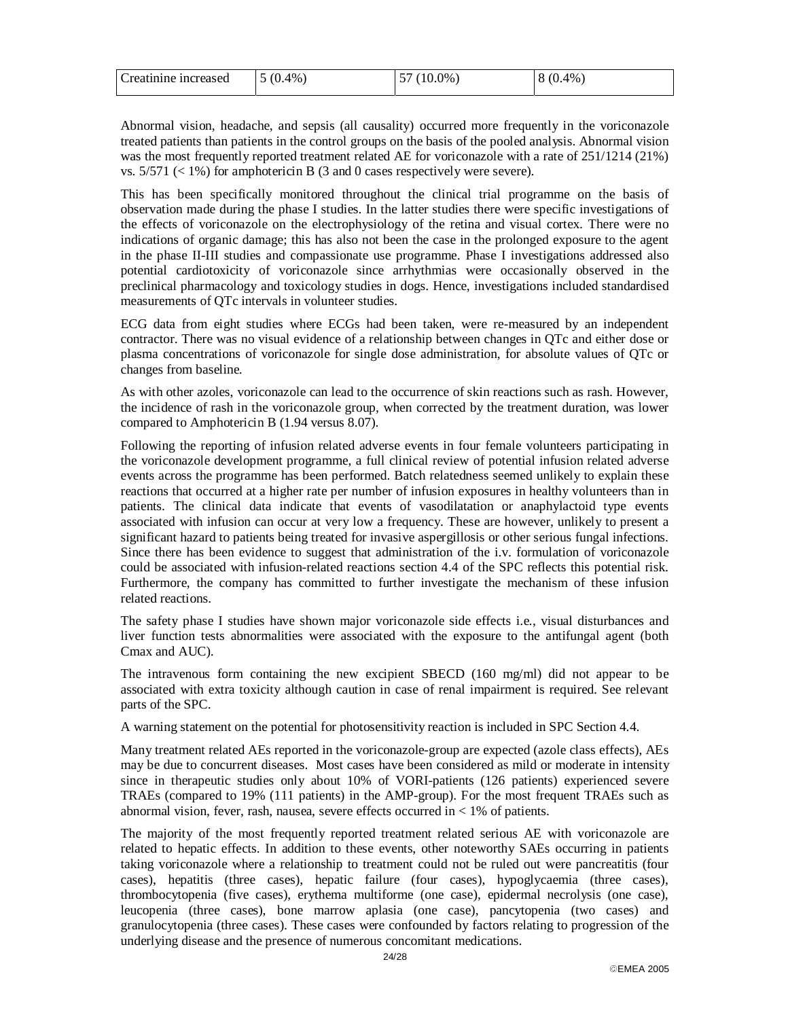| Creatinine increased | $\vert 5(0.4\%) \vert$ | 57 (10.0%) | 8 (0.4%) |
|----------------------|------------------------|------------|----------|
|                      |                        |            |          |

Abnormal vision, headache, and sepsis (all causality) occurred more frequently in the voriconazole treated patients than patients in the control groups on the basis of the pooled analysis. Abnormal vision was the most frequently reported treatment related AE for voriconazole with a rate of 251/1214 (21%) vs.  $5/571$  (< 1%) for amphotericin B (3 and 0 cases respectively were severe).

This has been specifically monitored throughout the clinical trial programme on the basis of observation made during the phase I studies. In the latter studies there were specific investigations of the effects of voriconazole on the electrophysiology of the retina and visual cortex. There were no indications of organic damage; this has also not been the case in the prolonged exposure to the agent in the phase II-III studies and compassionate use programme. Phase I investigations addressed also potential cardiotoxicity of voriconazole since arrhythmias were occasionally observed in the preclinical pharmacology and toxicology studies in dogs. Hence, investigations included standardised measurements of QTc intervals in volunteer studies.

ECG data from eight studies where ECGs had been taken, were re-measured by an independent contractor. There was no visual evidence of a relationship between changes in QTc and either dose or plasma concentrations of voriconazole for single dose administration, for absolute values of QTc or changes from baseline.

As with other azoles, voriconazole can lead to the occurrence of skin reactions such as rash. However, the incidence of rash in the voriconazole group, when corrected by the treatment duration, was lower compared to Amphotericin B (1.94 versus 8.07).

Following the reporting of infusion related adverse events in four female volunteers participating in the voriconazole development programme, a full clinical review of potential infusion related adverse events across the programme has been performed. Batch relatedness seemed unlikely to explain these reactions that occurred at a higher rate per number of infusion exposures in healthy volunteers than in patients. The clinical data indicate that events of vasodilatation or anaphylactoid type events associated with infusion can occur at very low a frequency. These are however, unlikely to present a significant hazard to patients being treated for invasive aspergillosis or other serious fungal infections. Since there has been evidence to suggest that administration of the i.v. formulation of voriconazole could be associated with infusion-related reactions section 4.4 of the SPC reflects this potential risk. Furthermore, the company has committed to further investigate the mechanism of these infusion related reactions.

The safety phase I studies have shown major voriconazole side effects i.e., visual disturbances and liver function tests abnormalities were associated with the exposure to the antifungal agent (both Cmax and AUC).

The intravenous form containing the new excipient SBECD (160 mg/ml) did not appear to be associated with extra toxicity although caution in case of renal impairment is required. See relevant parts of the SPC.

A warning statement on the potential for photosensitivity reaction is included in SPC Section 4.4.

Many treatment related AEs reported in the voriconazole-group are expected (azole class effects), AEs may be due to concurrent diseases. Most cases have been considered as mild or moderate in intensity since in therapeutic studies only about 10% of VORI-patients (126 patients) experienced severe TRAEs (compared to 19% (111 patients) in the AMP-group). For the most frequent TRAEs such as abnormal vision, fever, rash, nausea, severe effects occurred in  $\lt 1\%$  of patients.

The majority of the most frequently reported treatment related serious AE with voriconazole are related to hepatic effects. In addition to these events, other noteworthy SAEs occurring in patients taking voriconazole where a relationship to treatment could not be ruled out were pancreatitis (four cases), hepatitis (three cases), hepatic failure (four cases), hypoglycaemia (three cases), thrombocytopenia (five cases), erythema multiforme (one case), epidermal necrolysis (one case), leucopenia (three cases), bone marrow aplasia (one case), pancytopenia (two cases) and granulocytopenia (three cases). These cases were confounded by factors relating to progression of the underlying disease and the presence of numerous concomitant medications.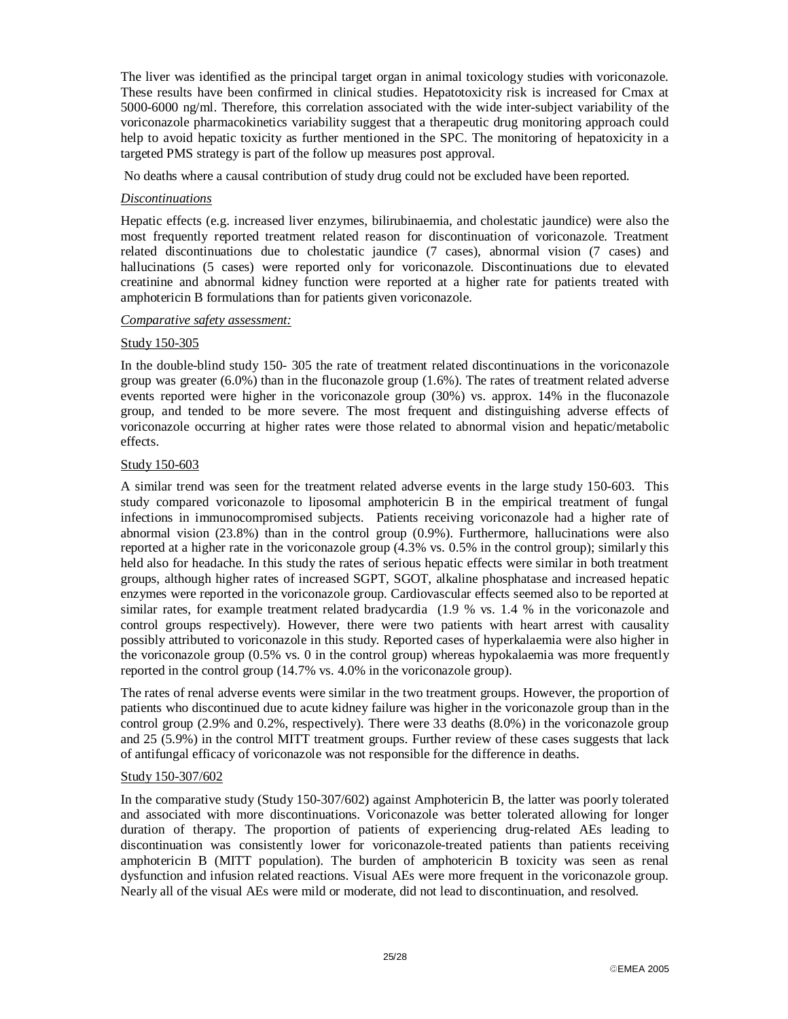The liver was identified as the principal target organ in animal toxicology studies with voriconazole. These results have been confirmed in clinical studies. Hepatotoxicity risk is increased for Cmax at 5000-6000 ng/ml. Therefore, this correlation associated with the wide inter-subject variability of the voriconazole pharmacokinetics variability suggest that a therapeutic drug monitoring approach could help to avoid hepatic toxicity as further mentioned in the SPC. The monitoring of hepatoxicity in a targeted PMS strategy is part of the follow up measures post approval.

No deaths where a causal contribution of study drug could not be excluded have been reported.

### *Discontinuations*

Hepatic effects (e.g. increased liver enzymes, bilirubinaemia, and cholestatic jaundice) were also the most frequently reported treatment related reason for discontinuation of voriconazole. Treatment related discontinuations due to cholestatic jaundice (7 cases), abnormal vision (7 cases) and hallucinations (5 cases) were reported only for voriconazole. Discontinuations due to elevated creatinine and abnormal kidney function were reported at a higher rate for patients treated with amphotericin B formulations than for patients given voriconazole.

### *Comparative safety assessment:*

### Study 150-305

In the double-blind study 150- 305 the rate of treatment related discontinuations in the voriconazole group was greater (6.0%) than in the fluconazole group (1.6%). The rates of treatment related adverse events reported were higher in the voriconazole group (30%) vs. approx. 14% in the fluconazole group, and tended to be more severe. The most frequent and distinguishing adverse effects of voriconazole occurring at higher rates were those related to abnormal vision and hepatic/metabolic effects.

### Study 150-603

A similar trend was seen for the treatment related adverse events in the large study 150-603. This study compared voriconazole to liposomal amphotericin B in the empirical treatment of fungal infections in immunocompromised subjects. Patients receiving voriconazole had a higher rate of abnormal vision (23.8%) than in the control group (0.9%). Furthermore, hallucinations were also reported at a higher rate in the voriconazole group (4.3% vs. 0.5% in the control group); similarly this held also for headache. In this study the rates of serious hepatic effects were similar in both treatment groups, although higher rates of increased SGPT, SGOT, alkaline phosphatase and increased hepatic enzymes were reported in the voriconazole group. Cardiovascular effects seemed also to be reported at similar rates, for example treatment related bradycardia (1.9 % vs. 1.4 % in the voriconazole and control groups respectively). However, there were two patients with heart arrest with causality possibly attributed to voriconazole in this study. Reported cases of hyperkalaemia were also higher in the voriconazole group  $(0.5\%$  vs. 0 in the control group) whereas hypokalaemia was more frequently reported in the control group (14.7% vs. 4.0% in the voriconazole group).

The rates of renal adverse events were similar in the two treatment groups. However, the proportion of patients who discontinued due to acute kidney failure was higher in the voriconazole group than in the control group (2.9% and 0.2%, respectively). There were 33 deaths (8.0%) in the voriconazole group and 25 (5.9%) in the control MITT treatment groups. Further review of these cases suggests that lack of antifungal efficacy of voriconazole was not responsible for the difference in deaths.

### Study 150-307/602

In the comparative study (Study 150-307/602) against Amphotericin B, the latter was poorly tolerated and associated with more discontinuations. Voriconazole was better tolerated allowing for longer duration of therapy. The proportion of patients of experiencing drug-related AEs leading to discontinuation was consistently lower for voriconazole-treated patients than patients receiving amphotericin B (MITT population). The burden of amphotericin B toxicity was seen as renal dysfunction and infusion related reactions. Visual AEs were more frequent in the voriconazole group. Nearly all of the visual AEs were mild or moderate, did not lead to discontinuation, and resolved.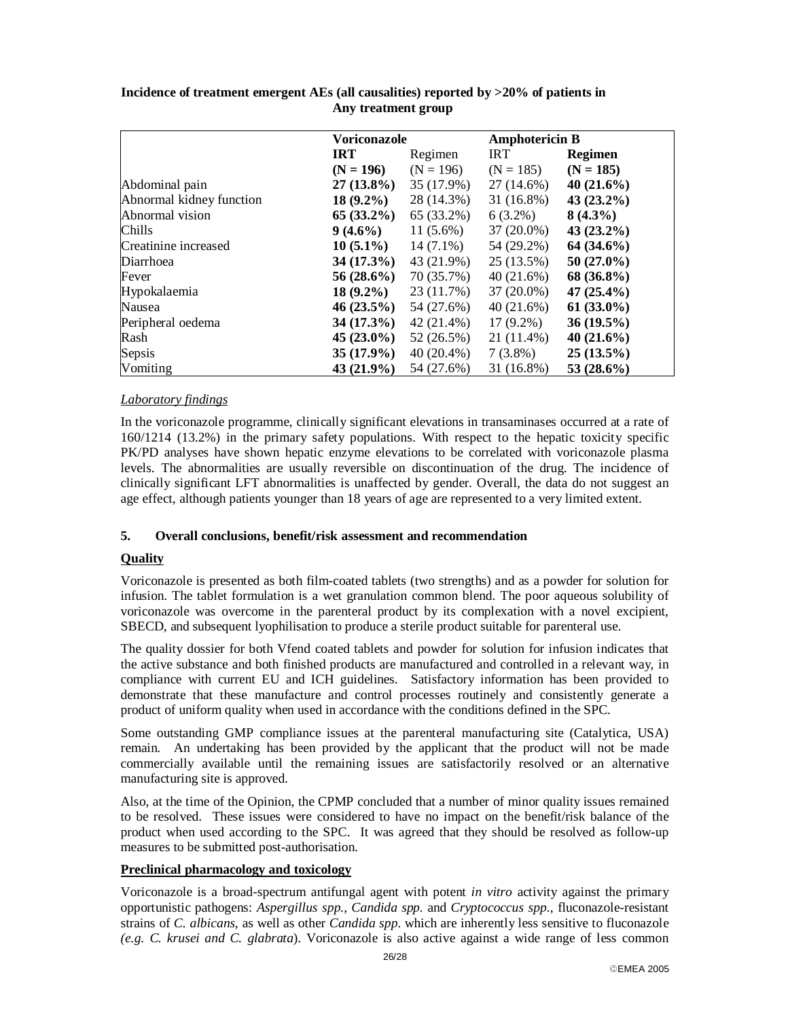|                          | <b>Voriconazole</b> |              | <b>Amphotericin B</b> |                |
|--------------------------|---------------------|--------------|-----------------------|----------------|
|                          | <b>IRT</b>          | Regimen      | <b>IRT</b>            | <b>Regimen</b> |
|                          | $(N = 196)$         | $(N = 196)$  | $(N = 185)$           | $(N = 185)$    |
| Abdominal pain           | $27(13.8\%)$        | 35 (17.9%)   | 27 (14.6%)            | 40 $(21.6\%)$  |
| Abnormal kidney function | $18(9.2\%)$         | 28 (14.3%)   | $31(16.8\%)$          | $43(23.2\%)$   |
| Abnormal vision          | $65(33.2\%)$        | 65 (33.2%)   | $6(3.2\%)$            | $8(4.3\%)$     |
| Chills                   | $9(4.6\%)$          | $11(5.6\%)$  | $37(20.0\%)$          | $43(23.2\%)$   |
| Creatinine increased     | $10(5.1\%)$         | $14(7.1\%)$  | 54 (29.2%)            | $64(34.6\%)$   |
| Diarrhoea                | $34(17.3\%)$        | 43 (21.9%)   | 25(13.5%)             | $50(27.0\%)$   |
| Fever                    | $56(28.6\%)$        | 70 (35.7%)   | 40(21.6%)             | 68 (36.8%)     |
| Hypokalaemia             | $18(9.2\%)$         | 23 (11.7%)   | $37(20.0\%)$          | 47 $(25.4\%)$  |
| Nausea                   | $46(23.5\%)$        | 54 (27.6%)   | 40(21.6%)             | $61(33.0\%)$   |
| Peripheral oedema        | $34(17.3\%)$        | $42(21.4\%)$ | $17(9.2\%)$           | $36(19.5\%)$   |
| Rash                     | $45(23.0\%)$        | 52 (26.5%)   | 21 (11.4%)            | 40 $(21.6\%)$  |
| Sepsis                   | $35(17.9\%)$        | $40(20.4\%)$ | $7(3.8\%)$            | $25(13.5\%)$   |
| Vomiting                 | $43(21.9\%)$        | 54 (27.6%)   | 31 (16.8%)            | 53 $(28.6\%)$  |

### **Incidence of treatment emergent AEs (all causalities) reported by >20% of patients in Any treatment group**

### *Laboratory findings*

In the voriconazole programme, clinically significant elevations in transaminases occurred at a rate of 160/1214 (13.2%) in the primary safety populations. With respect to the hepatic toxicity specific PK/PD analyses have shown hepatic enzyme elevations to be correlated with voriconazole plasma levels. The abnormalities are usually reversible on discontinuation of the drug. The incidence of clinically significant LFT abnormalities is unaffected by gender. Overall, the data do not suggest an age effect, although patients younger than 18 years of age are represented to a very limited extent.

### **5. Overall conclusions, benefit/risk assessment and recommendation**

### **Quality**

Voriconazole is presented as both film-coated tablets (two strengths) and as a powder for solution for infusion. The tablet formulation is a wet granulation common blend. The poor aqueous solubility of voriconazole was overcome in the parenteral product by its complexation with a novel excipient, SBECD, and subsequent lyophilisation to produce a sterile product suitable for parenteral use.

The quality dossier for both Vfend coated tablets and powder for solution for infusion indicates that the active substance and both finished products are manufactured and controlled in a relevant way, in compliance with current EU and ICH guidelines. Satisfactory information has been provided to demonstrate that these manufacture and control processes routinely and consistently generate a product of uniform quality when used in accordance with the conditions defined in the SPC.

Some outstanding GMP compliance issues at the parenteral manufacturing site (Catalytica, USA) remain. An undertaking has been provided by the applicant that the product will not be made commercially available until the remaining issues are satisfactorily resolved or an alternative manufacturing site is approved.

Also, at the time of the Opinion, the CPMP concluded that a number of minor quality issues remained to be resolved. These issues were considered to have no impact on the benefit/risk balance of the product when used according to the SPC. It was agreed that they should be resolved as follow-up measures to be submitted post-authorisation.

### **Preclinical pharmacology and toxicology**

Voriconazole is a broad-spectrum antifungal agent with potent *in vitro* activity against the primary opportunistic pathogens: *Aspergillus spp., Candida spp.* and *Cryptococcus spp.*, fluconazole-resistant strains of *C. albicans*, as well as other *Candida spp*. which are inherently less sensitive to fluconazole *(e.g. C. krusei and C. glabrata*). Voriconazole is also active against a wide range of less common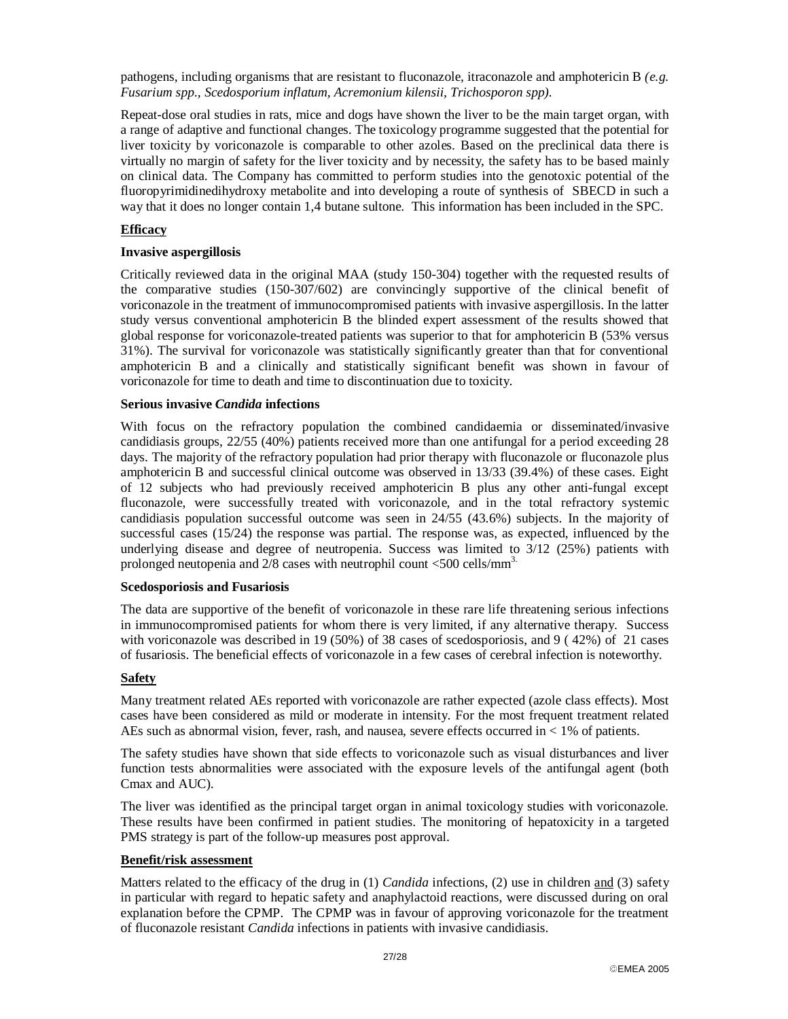pathogens, including organisms that are resistant to fluconazole, itraconazole and amphotericin B *(e.g. Fusarium spp., Scedosporium inflatum, Acremonium kilensii, Trichosporon spp).*

Repeat-dose oral studies in rats, mice and dogs have shown the liver to be the main target organ, with a range of adaptive and functional changes. The toxicology programme suggested that the potential for liver toxicity by voriconazole is comparable to other azoles. Based on the preclinical data there is virtually no margin of safety for the liver toxicity and by necessity, the safety has to be based mainly on clinical data. The Company has committed to perform studies into the genotoxic potential of the fluoropyrimidinedihydroxy metabolite and into developing a route of synthesis of SBECD in such a way that it does no longer contain 1,4 butane sultone. This information has been included in the SPC.

### **Efficacy**

#### **Invasive aspergillosis**

Critically reviewed data in the original MAA (study 150-304) together with the requested results of the comparative studies (150-307/602) are convincingly supportive of the clinical benefit of voriconazole in the treatment of immunocompromised patients with invasive aspergillosis. In the latter study versus conventional amphotericin B the blinded expert assessment of the results showed that global response for voriconazole-treated patients was superior to that for amphotericin B (53% versus 31%). The survival for voriconazole was statistically significantly greater than that for conventional amphotericin B and a clinically and statistically significant benefit was shown in favour of voriconazole for time to death and time to discontinuation due to toxicity.

#### **Serious invasive** *Candida* **infections**

With focus on the refractory population the combined candidaemia or disseminated/invasive candidiasis groups, 22/55 (40%) patients received more than one antifungal for a period exceeding 28 days. The majority of the refractory population had prior therapy with fluconazole or fluconazole plus amphotericin B and successful clinical outcome was observed in 13/33 (39.4%) of these cases. Eight of 12 subjects who had previously received amphotericin B plus any other anti-fungal except fluconazole, were successfully treated with voriconazole, and in the total refractory systemic candidiasis population successful outcome was seen in 24/55 (43.6%) subjects. In the majority of successful cases (15/24) the response was partial. The response was, as expected, influenced by the underlying disease and degree of neutropenia. Success was limited to 3/12 (25%) patients with prolonged neutopenia and  $2/8$  cases with neutrophil count  $\leq 500$  cells/mm<sup>3.</sup>

#### **Scedosporiosis and Fusariosis**

The data are supportive of the benefit of voriconazole in these rare life threatening serious infections in immunocompromised patients for whom there is very limited, if any alternative therapy. Success with voriconazole was described in 19 (50%) of 38 cases of scedosporiosis, and 9 ( 42%) of 21 cases of fusariosis. The beneficial effects of voriconazole in a few cases of cerebral infection is noteworthy.

#### **Safety**

Many treatment related AEs reported with voriconazole are rather expected (azole class effects). Most cases have been considered as mild or moderate in intensity. For the most frequent treatment related AEs such as abnormal vision, fever, rash, and nausea, severe effects occurred in < 1% of patients.

The safety studies have shown that side effects to voriconazole such as visual disturbances and liver function tests abnormalities were associated with the exposure levels of the antifungal agent (both Cmax and AUC).

The liver was identified as the principal target organ in animal toxicology studies with voriconazole. These results have been confirmed in patient studies. The monitoring of hepatoxicity in a targeted PMS strategy is part of the follow-up measures post approval.

#### **Benefit/risk assessment**

Matters related to the efficacy of the drug in (1) *Candida* infections, (2) use in children and (3) safety in particular with regard to hepatic safety and anaphylactoid reactions, were discussed during on oral explanation before the CPMP. The CPMP was in favour of approving voriconazole for the treatment of fluconazole resistant *Candida* infections in patients with invasive candidiasis.